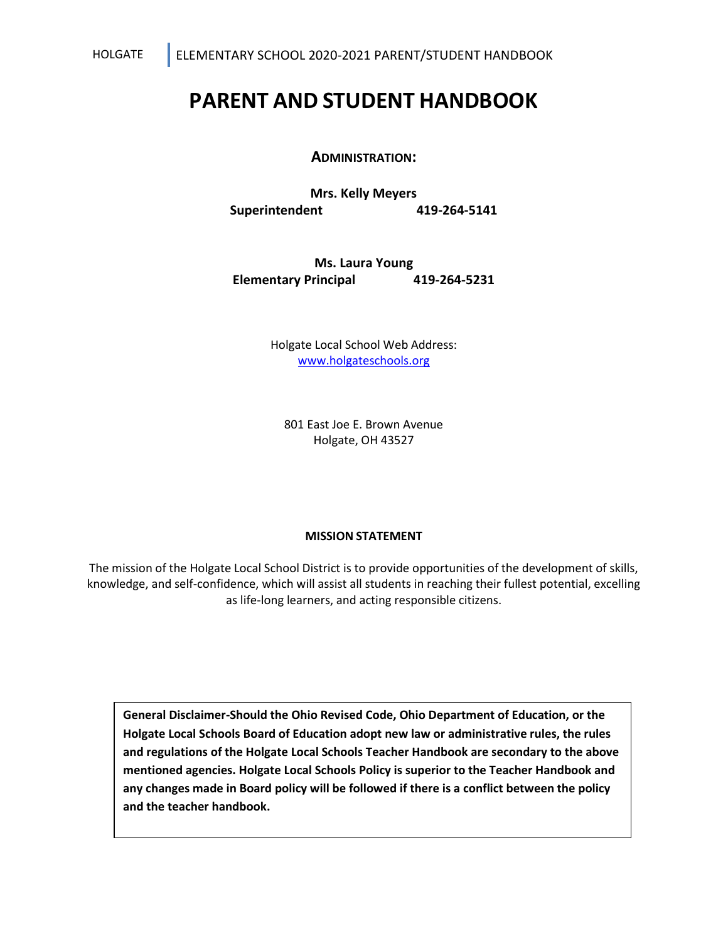

## **PARENT AND STUDENT HANDBOOK**

**ADMINISTRATION:**

**Mrs. Kelly Meyers Superintendent 419-264-5141**

**Ms. Laura Young Elementary Principal 419-264-5231**

> Holgate Local School Web Address: [www.holgateschools.org](http://www.holgateschools.org/)

801 East Joe E. Brown Avenue Holgate, OH 43527

#### **MISSION STATEMENT**

The mission of the Holgate Local School District is to provide opportunities of the development of skills, knowledge, and self-confidence, which will assist all students in reaching their fullest potential, excelling as life-long learners, and acting responsible citizens.

**General Disclaimer-Should the Ohio Revised Code, Ohio Department of Education, or the Holgate Local Schools Board of Education adopt new law or administrative rules, the rules and regulations of the Holgate Local Schools Teacher Handbook are secondary to the above mentioned agencies. Holgate Local Schools Policy is superior to the Teacher Handbook and any changes made in Board policy will be followed if there is a conflict between the policy and the teacher handbook.**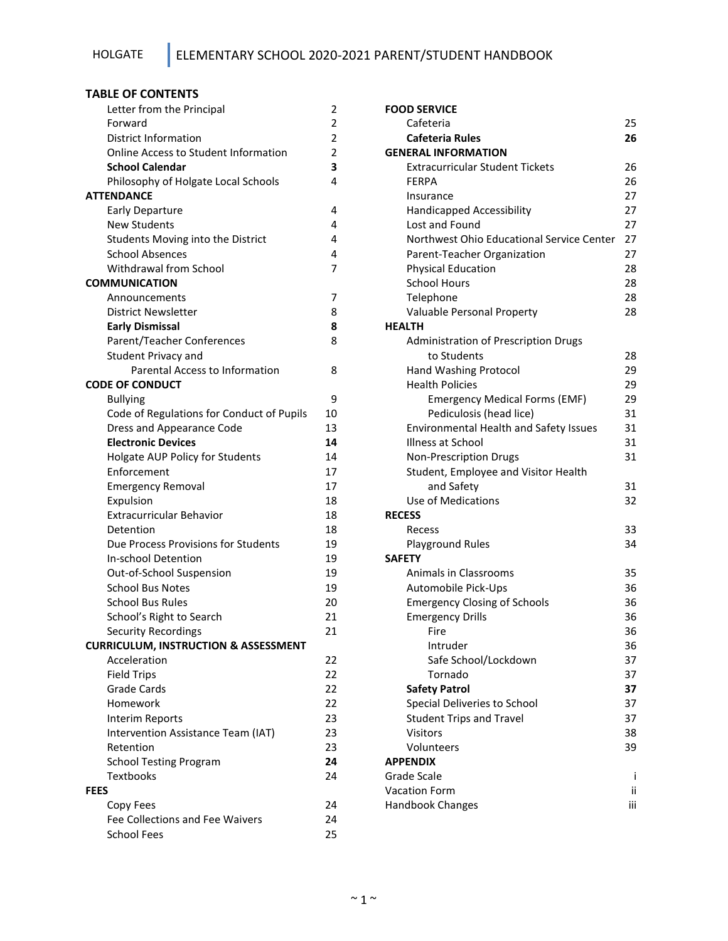### **TABLE OF CONTENTS**

| Letter from the Principal                       | 2              |
|-------------------------------------------------|----------------|
| Forward                                         | 2              |
| <b>District Information</b>                     | 2              |
| <b>Online Access to Student Information</b>     | $\overline{2}$ |
| <b>School Calendar</b>                          | 3              |
| Philosophy of Holgate Local Schools             | 4              |
| <b>ATTENDANCE</b>                               |                |
| <b>Early Departure</b>                          | 4              |
| <b>New Students</b>                             | 4              |
| Students Moving into the District               | 4              |
| <b>School Absences</b>                          | 4              |
| Withdrawal from School                          | 7              |
| <b>COMMUNICATION</b>                            |                |
| Announcements                                   | 7              |
| <b>District Newsletter</b>                      | 8              |
| <b>Early Dismissal</b>                          | 8              |
| Parent/Teacher Conferences                      | 8              |
| Student Privacy and                             |                |
| <b>Parental Access to Information</b>           | 8              |
| <b>CODE OF CONDUCT</b>                          |                |
| <b>Bullying</b>                                 | 9              |
| Code of Regulations for Conduct of Pupils       | 10             |
| Dress and Appearance Code                       | 13             |
| <b>Electronic Devices</b>                       | 14             |
| Holgate AUP Policy for Students                 | 14             |
| Enforcement                                     | 17             |
| <b>Emergency Removal</b>                        | 17             |
| Expulsion                                       | 18             |
| <b>Extracurricular Behavior</b>                 | 18             |
| Detention                                       | 18             |
| Due Process Provisions for Students             | 19             |
| In-school Detention                             | 19             |
| Out-of-School Suspension                        | 19             |
| <b>School Bus Notes</b>                         | 19             |
| <b>School Bus Rules</b>                         | 20             |
| School's Right to Search                        | 21             |
| <b>Security Recordings</b>                      | 21             |
| <b>CURRICULUM, INSTRUCTION &amp; ASSESSMENT</b> |                |
| Acceleration                                    | 22             |
| <b>Field Trips</b>                              | 22             |
| <b>Grade Cards</b>                              | 22             |
| Homework                                        | 22             |
| Interim Reports                                 | 23             |
| Intervention Assistance Team (IAT)              | 23             |
| Retention                                       | 23             |
| <b>School Testing Program</b>                   | 24             |
| <b>Textbooks</b>                                | 24             |
| <b>FEES</b>                                     |                |
| Copy Fees                                       | 24             |
| Fee Collections and Fee Waivers                 | 24             |
| <b>School Fees</b>                              | 25             |

| <b>FOOD SERVICE</b>                           |     |
|-----------------------------------------------|-----|
| Cafeteria                                     | 25  |
| <b>Cafeteria Rules</b>                        | 26  |
| <b>GENERAL INFORMATION</b>                    |     |
| <b>Extracurricular Student Tickets</b>        | 26  |
| <b>FERPA</b>                                  | 26  |
| Insurance                                     | 27  |
| <b>Handicapped Accessibility</b>              | 27  |
| Lost and Found                                | 27  |
| Northwest Ohio Educational Service Center     | 27  |
| Parent-Teacher Organization                   | 27  |
| <b>Physical Education</b>                     | 28  |
| <b>School Hours</b>                           | 28  |
| Telephone                                     | 28  |
| Valuable Personal Property                    | 28  |
| <b>HEALTH</b>                                 |     |
| Administration of Prescription Drugs          |     |
| to Students                                   | 28  |
| <b>Hand Washing Protocol</b>                  | 29  |
| <b>Health Policies</b>                        | 29  |
| <b>Emergency Medical Forms (EMF)</b>          | 29  |
| Pediculosis (head lice)                       | 31  |
| <b>Environmental Health and Safety Issues</b> | 31  |
| Illness at School                             | 31  |
| <b>Non-Prescription Drugs</b>                 | 31  |
| Student, Employee and Visitor Health          |     |
| and Safety                                    | 31  |
| Use of Medications                            | 32  |
| <b>RECESS</b>                                 |     |
| Recess                                        | 33  |
| <b>Playground Rules</b>                       | 34  |
| <b>SAFETY</b>                                 |     |
| <b>Animals in Classrooms</b>                  | 35  |
| Automobile Pick-Ups                           | 36  |
| <b>Emergency Closing of Schools</b>           | 36  |
| <b>Emergency Drills</b>                       | 36  |
| Fire                                          | 36  |
| Intruder                                      | 36  |
| Safe School/Lockdown                          | 37  |
| Tornado                                       | 37  |
| <b>Safety Patrol</b>                          | 37  |
| Special Deliveries to School                  | 37  |
| <b>Student Trips and Travel</b>               | 37  |
| Visitors                                      | 38  |
| Volunteers                                    | 39  |
| <b>APPENDIX</b>                               |     |
| Grade Scale                                   |     |
| <b>Vacation Form</b>                          | ij  |
| <b>Handbook Changes</b>                       | iii |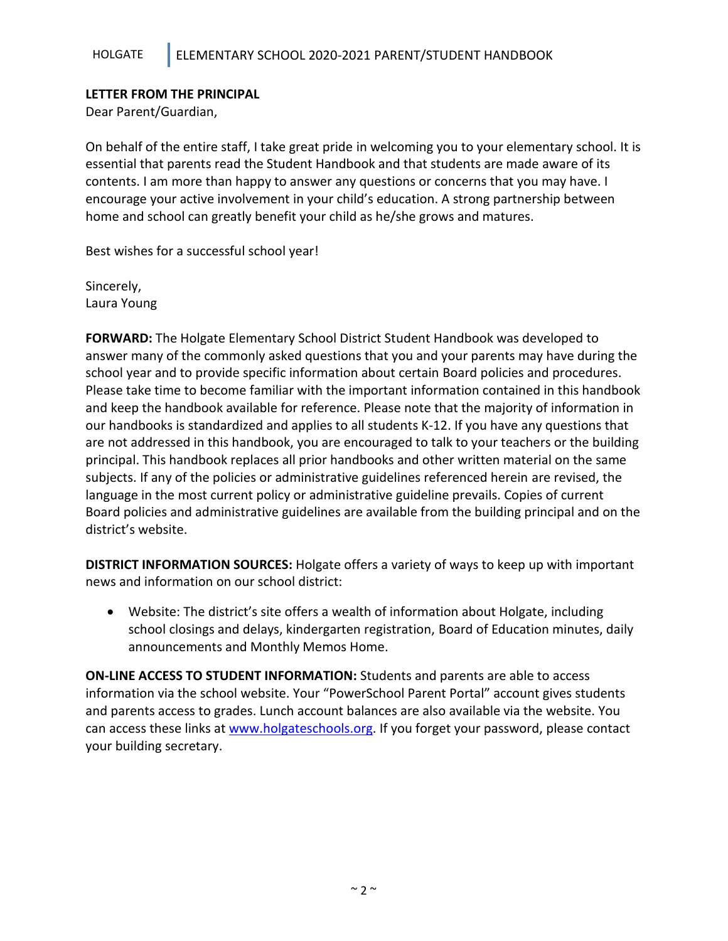#### **LETTER FROM THE PRINCIPAL**

Dear Parent/Guardian,

On behalf of the entire staff, I take great pride in welcoming you to your elementary school. It is essential that parents read the Student Handbook and that students are made aware of its contents. I am more than happy to answer any questions or concerns that you may have. I encourage your active involvement in your child's education. A strong partnership between home and school can greatly benefit your child as he/she grows and matures.

Best wishes for a successful school year!

Sincerely, Laura Young

**FORWARD:** The Holgate Elementary School District Student Handbook was developed to answer many of the commonly asked questions that you and your parents may have during the school year and to provide specific information about certain Board policies and procedures. Please take time to become familiar with the important information contained in this handbook and keep the handbook available for reference. Please note that the majority of information in our handbooks is standardized and applies to all students K-12. If you have any questions that are not addressed in this handbook, you are encouraged to talk to your teachers or the building principal. This handbook replaces all prior handbooks and other written material on the same subjects. If any of the policies or administrative guidelines referenced herein are revised, the language in the most current policy or administrative guideline prevails. Copies of current Board policies and administrative guidelines are available from the building principal and on the district's website.

**DISTRICT INFORMATION SOURCES:** Holgate offers a variety of ways to keep up with important news and information on our school district:

• Website: The district's site offers a wealth of information about Holgate, including school closings and delays, kindergarten registration, Board of Education minutes, daily announcements and Monthly Memos Home.

**ON-LINE ACCESS TO STUDENT INFORMATION:** Students and parents are able to access information via the school website. Your "PowerSchool Parent Portal" account gives students and parents access to grades. Lunch account balances are also available via the website. You can access these links at [www.holgateschools.org.](http://www.holgateschools.org/) If you forget your password, please contact your building secretary.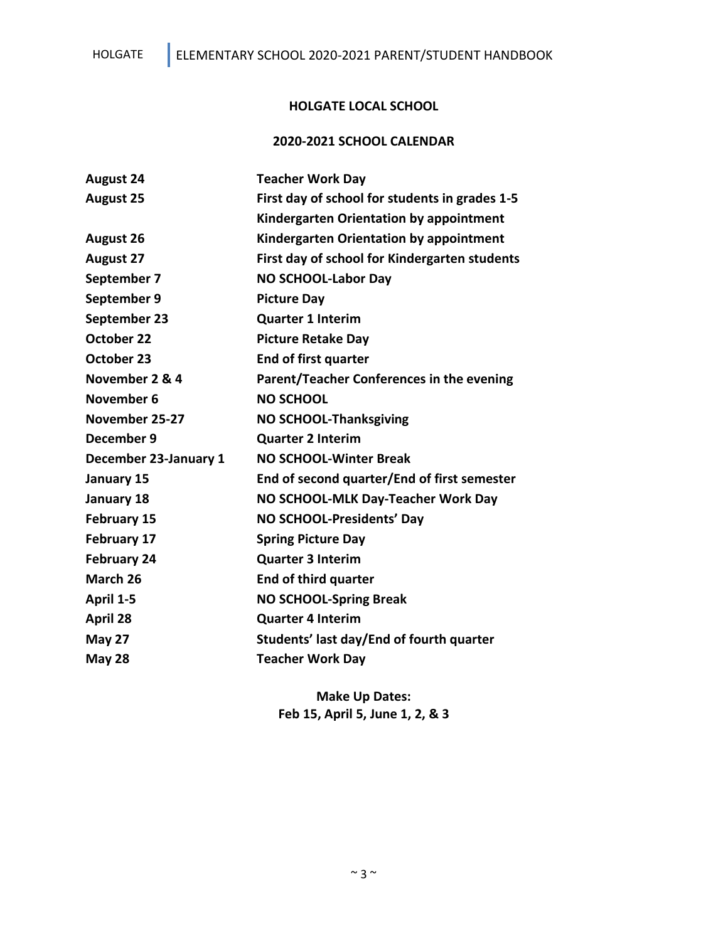#### **HOLGATE LOCAL SCHOOL**

#### **2020-2021 SCHOOL CALENDAR**

| <b>August 24</b>      | <b>Teacher Work Day</b>                        |
|-----------------------|------------------------------------------------|
| <b>August 25</b>      | First day of school for students in grades 1-5 |
|                       | Kindergarten Orientation by appointment        |
| <b>August 26</b>      | Kindergarten Orientation by appointment        |
| <b>August 27</b>      | First day of school for Kindergarten students  |
| September 7           | <b>NO SCHOOL-Labor Day</b>                     |
| September 9           | <b>Picture Day</b>                             |
| September 23          | <b>Quarter 1 Interim</b>                       |
| October 22            | <b>Picture Retake Day</b>                      |
| October 23            | End of first quarter                           |
| November 2 & 4        | Parent/Teacher Conferences in the evening      |
| November 6            | <b>NO SCHOOL</b>                               |
| November 25-27        | <b>NO SCHOOL-Thanksgiving</b>                  |
| December 9            | <b>Quarter 2 Interim</b>                       |
| December 23-January 1 | <b>NO SCHOOL-Winter Break</b>                  |
| January 15            | End of second quarter/End of first semester    |
| January 18            | NO SCHOOL-MLK Day-Teacher Work Day             |
| February 15           | NO SCHOOL-Presidents' Day                      |
| <b>February 17</b>    | <b>Spring Picture Day</b>                      |
| <b>February 24</b>    | <b>Quarter 3 Interim</b>                       |
| March 26              | <b>End of third quarter</b>                    |
| April 1-5             | <b>NO SCHOOL-Spring Break</b>                  |
| April 28              | <b>Quarter 4 Interim</b>                       |
| <b>May 27</b>         | Students' last day/End of fourth quarter       |
| <b>May 28</b>         | <b>Teacher Work Day</b>                        |

**Make Up Dates: Feb 15, April 5, June 1, 2, & 3**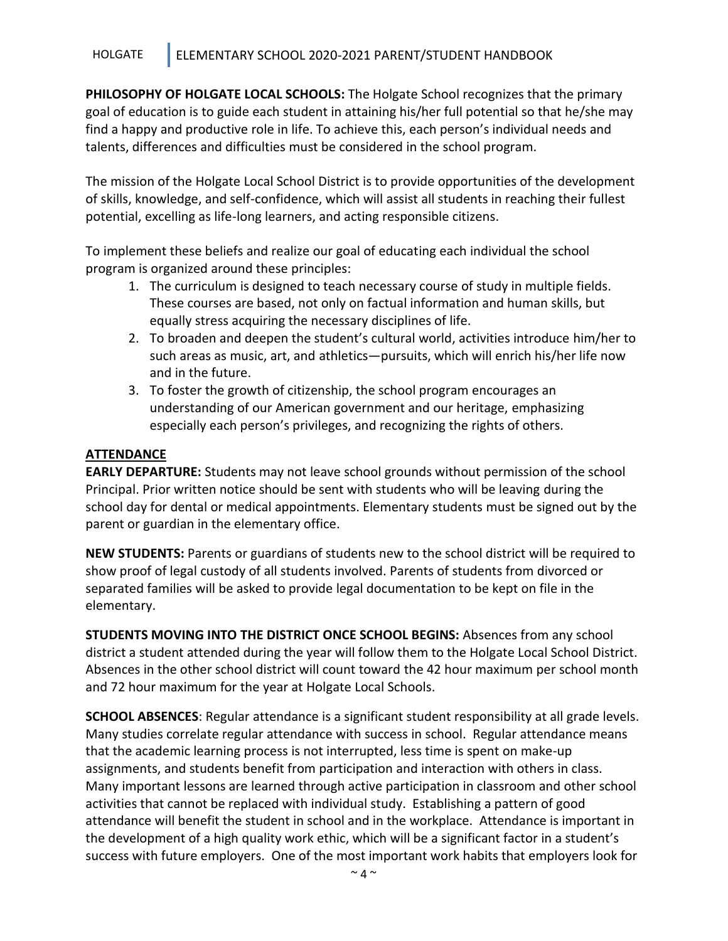**PHILOSOPHY OF HOLGATE LOCAL SCHOOLS:** The Holgate School recognizes that the primary goal of education is to guide each student in attaining his/her full potential so that he/she may find a happy and productive role in life. To achieve this, each person's individual needs and talents, differences and difficulties must be considered in the school program.

The mission of the Holgate Local School District is to provide opportunities of the development of skills, knowledge, and self-confidence, which will assist all students in reaching their fullest potential, excelling as life-long learners, and acting responsible citizens.

To implement these beliefs and realize our goal of educating each individual the school program is organized around these principles:

- 1. The curriculum is designed to teach necessary course of study in multiple fields. These courses are based, not only on factual information and human skills, but equally stress acquiring the necessary disciplines of life.
- 2. To broaden and deepen the student's cultural world, activities introduce him/her to such areas as music, art, and athletics—pursuits, which will enrich his/her life now and in the future.
- 3. To foster the growth of citizenship, the school program encourages an understanding of our American government and our heritage, emphasizing especially each person's privileges, and recognizing the rights of others.

#### **ATTENDANCE**

**EARLY DEPARTURE:** Students may not leave school grounds without permission of the school Principal. Prior written notice should be sent with students who will be leaving during the school day for dental or medical appointments. Elementary students must be signed out by the parent or guardian in the elementary office.

**NEW STUDENTS:** Parents or guardians of students new to the school district will be required to show proof of legal custody of all students involved. Parents of students from divorced or separated families will be asked to provide legal documentation to be kept on file in the elementary.

**STUDENTS MOVING INTO THE DISTRICT ONCE SCHOOL BEGINS:** Absences from any school district a student attended during the year will follow them to the Holgate Local School District. Absences in the other school district will count toward the 42 hour maximum per school month and 72 hour maximum for the year at Holgate Local Schools.

**SCHOOL ABSENCES**: Regular attendance is a significant student responsibility at all grade levels. Many studies correlate regular attendance with success in school. Regular attendance means that the academic learning process is not interrupted, less time is spent on make-up assignments, and students benefit from participation and interaction with others in class. Many important lessons are learned through active participation in classroom and other school activities that cannot be replaced with individual study. Establishing a pattern of good attendance will benefit the student in school and in the workplace. Attendance is important in the development of a high quality work ethic, which will be a significant factor in a student's success with future employers. One of the most important work habits that employers look for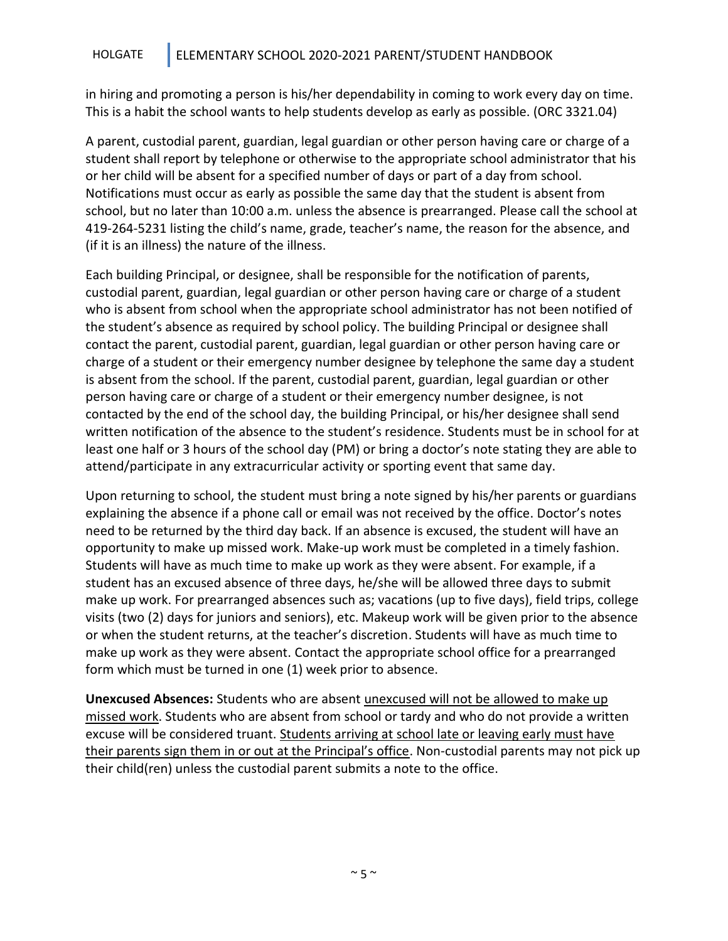in hiring and promoting a person is his/her dependability in coming to work every day on time. This is a habit the school wants to help students develop as early as possible. (ORC 3321.04)

A parent, custodial parent, guardian, legal guardian or other person having care or charge of a student shall report by telephone or otherwise to the appropriate school administrator that his or her child will be absent for a specified number of days or part of a day from school. Notifications must occur as early as possible the same day that the student is absent from school, but no later than 10:00 a.m. unless the absence is prearranged. Please call the school at 419-264-5231 listing the child's name, grade, teacher's name, the reason for the absence, and (if it is an illness) the nature of the illness.

Each building Principal, or designee, shall be responsible for the notification of parents, custodial parent, guardian, legal guardian or other person having care or charge of a student who is absent from school when the appropriate school administrator has not been notified of the student's absence as required by school policy. The building Principal or designee shall contact the parent, custodial parent, guardian, legal guardian or other person having care or charge of a student or their emergency number designee by telephone the same day a student is absent from the school. If the parent, custodial parent, guardian, legal guardian or other person having care or charge of a student or their emergency number designee, is not contacted by the end of the school day, the building Principal, or his/her designee shall send written notification of the absence to the student's residence. Students must be in school for at least one half or 3 hours of the school day (PM) or bring a doctor's note stating they are able to attend/participate in any extracurricular activity or sporting event that same day.

Upon returning to school, the student must bring a note signed by his/her parents or guardians explaining the absence if a phone call or email was not received by the office. Doctor's notes need to be returned by the third day back. If an absence is excused, the student will have an opportunity to make up missed work. Make-up work must be completed in a timely fashion. Students will have as much time to make up work as they were absent. For example, if a student has an excused absence of three days, he/she will be allowed three days to submit make up work. For prearranged absences such as; vacations (up to five days), field trips, college visits (two (2) days for juniors and seniors), etc. Makeup work will be given prior to the absence or when the student returns, at the teacher's discretion. Students will have as much time to make up work as they were absent. Contact the appropriate school office for a prearranged form which must be turned in one (1) week prior to absence.

**Unexcused Absences:** Students who are absent unexcused will not be allowed to make up missed work. Students who are absent from school or tardy and who do not provide a written excuse will be considered truant. Students arriving at school late or leaving early must have their parents sign them in or out at the Principal's office. Non-custodial parents may not pick up their child(ren) unless the custodial parent submits a note to the office.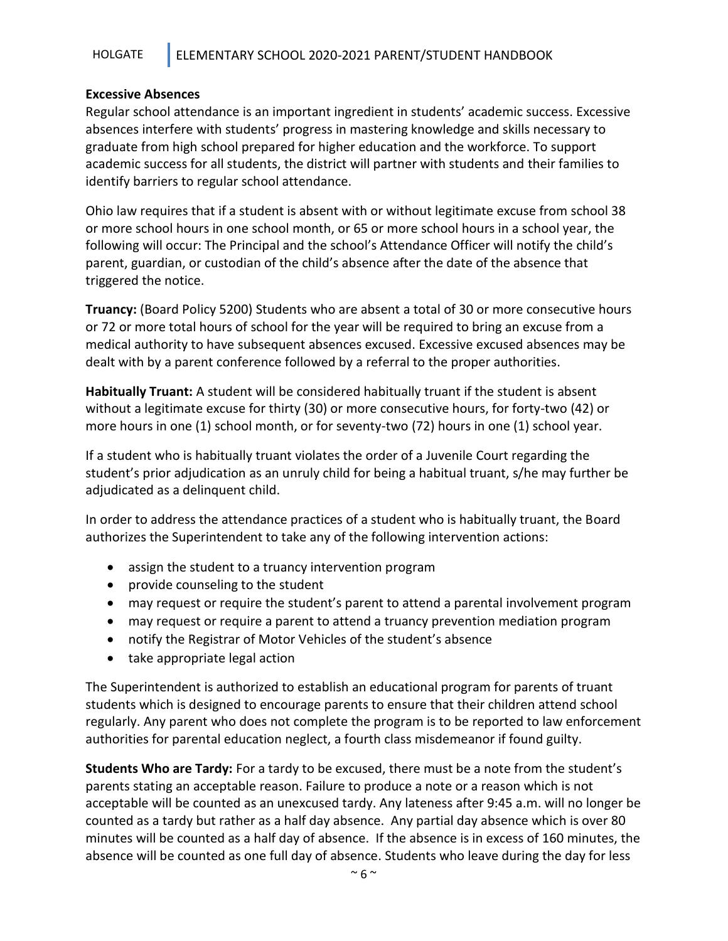#### **Excessive Absences**

Regular school attendance is an important ingredient in students' academic success. Excessive absences interfere with students' progress in mastering knowledge and skills necessary to graduate from high school prepared for higher education and the workforce. To support academic success for all students, the district will partner with students and their families to identify barriers to regular school attendance.

Ohio law requires that if a student is absent with or without legitimate excuse from school 38 or more school hours in one school month, or 65 or more school hours in a school year, the following will occur: The Principal and the school's Attendance Officer will notify the child's parent, guardian, or custodian of the child's absence after the date of the absence that triggered the notice.

**Truancy:** (Board Policy 5200) Students who are absent a total of 30 or more consecutive hours or 72 or more total hours of school for the year will be required to bring an excuse from a medical authority to have subsequent absences excused. Excessive excused absences may be dealt with by a parent conference followed by a referral to the proper authorities.

**Habitually Truant:** A student will be considered habitually truant if the student is absent without a legitimate excuse for thirty (30) or more consecutive hours, for forty-two (42) or more hours in one (1) school month, or for seventy-two (72) hours in one (1) school year.

If a student who is habitually truant violates the order of a Juvenile Court regarding the student's prior adjudication as an unruly child for being a habitual truant, s/he may further be adjudicated as a delinquent child.

In order to address the attendance practices of a student who is habitually truant, the Board authorizes the Superintendent to take any of the following intervention actions:

- assign the student to a truancy intervention program
- provide counseling to the student
- may request or require the student's parent to attend a parental involvement program
- may request or require a parent to attend a truancy prevention mediation program
- notify the Registrar of Motor Vehicles of the student's absence
- take appropriate legal action

The Superintendent is authorized to establish an educational program for parents of truant students which is designed to encourage parents to ensure that their children attend school regularly. Any parent who does not complete the program is to be reported to law enforcement authorities for parental education neglect, a fourth class misdemeanor if found guilty.

**Students Who are Tardy:** For a tardy to be excused, there must be a note from the student's parents stating an acceptable reason. Failure to produce a note or a reason which is not acceptable will be counted as an unexcused tardy. Any lateness after 9:45 a.m. will no longer be counted as a tardy but rather as a half day absence. Any partial day absence which is over 80 minutes will be counted as a half day of absence. If the absence is in excess of 160 minutes, the absence will be counted as one full day of absence. Students who leave during the day for less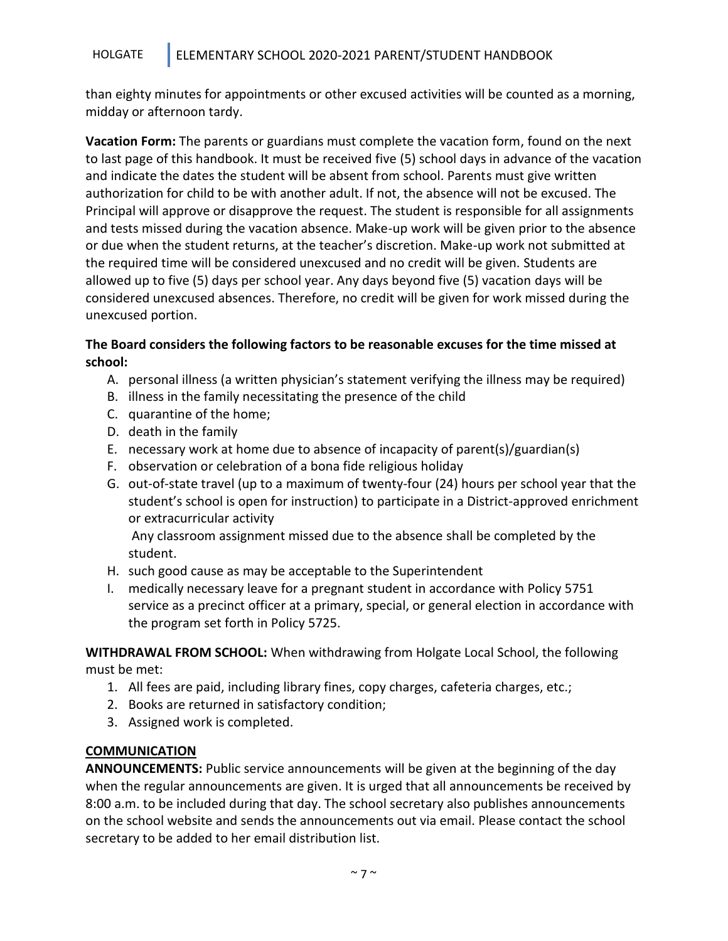than eighty minutes for appointments or other excused activities will be counted as a morning, midday or afternoon tardy.

**Vacation Form:** The parents or guardians must complete the vacation form, found on the next to last page of this handbook. It must be received five (5) school days in advance of the vacation and indicate the dates the student will be absent from school. Parents must give written authorization for child to be with another adult. If not, the absence will not be excused. The Principal will approve or disapprove the request. The student is responsible for all assignments and tests missed during the vacation absence. Make-up work will be given prior to the absence or due when the student returns, at the teacher's discretion. Make-up work not submitted at the required time will be considered unexcused and no credit will be given. Students are allowed up to five (5) days per school year. Any days beyond five (5) vacation days will be considered unexcused absences. Therefore, no credit will be given for work missed during the unexcused portion.

#### **The Board considers the following factors to be reasonable excuses for the time missed at school:**

- A. personal illness (a written physician's statement verifying the illness may be required)
- B. illness in the family necessitating the presence of the child
- C. quarantine of the home;
- D. death in the family
- E. necessary work at home due to absence of incapacity of parent(s)/guardian(s)
- F. observation or celebration of a bona fide religious holiday
- G. out-of-state travel (up to a maximum of twenty-four (24) hours per school year that the student's school is open for instruction) to participate in a District-approved enrichment or extracurricular activity

Any classroom assignment missed due to the absence shall be completed by the student.

- H. such good cause as may be acceptable to the Superintendent
- I. medically necessary leave for a pregnant student in accordance with Policy 5751 service as a precinct officer at a primary, special, or general election in accordance with the program set forth in Policy 5725.

**WITHDRAWAL FROM SCHOOL:** When withdrawing from Holgate Local School, the following must be met:

- 1. All fees are paid, including library fines, copy charges, cafeteria charges, etc.;
- 2. Books are returned in satisfactory condition;
- 3. Assigned work is completed.

#### **COMMUNICATION**

**ANNOUNCEMENTS:** Public service announcements will be given at the beginning of the day when the regular announcements are given. It is urged that all announcements be received by 8:00 a.m. to be included during that day. The school secretary also publishes announcements on the school website and sends the announcements out via email. Please contact the school secretary to be added to her email distribution list.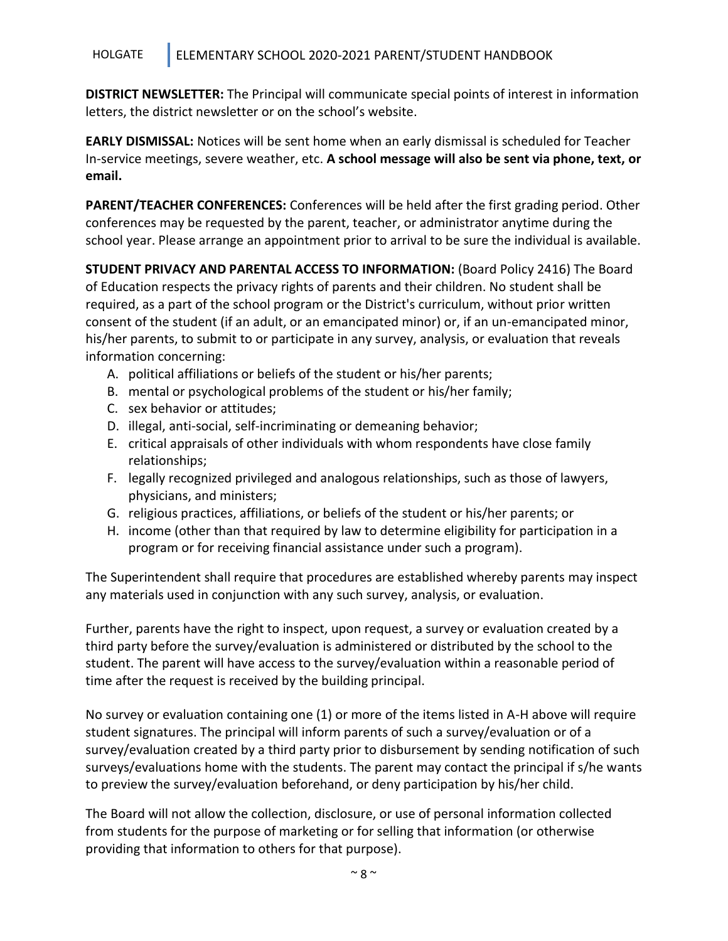**DISTRICT NEWSLETTER:** The Principal will communicate special points of interest in information letters, the district newsletter or on the school's website.

**EARLY DISMISSAL:** Notices will be sent home when an early dismissal is scheduled for Teacher In-service meetings, severe weather, etc. **A school message will also be sent via phone, text, or email.**

**PARENT/TEACHER CONFERENCES:** Conferences will be held after the first grading period. Other conferences may be requested by the parent, teacher, or administrator anytime during the school year. Please arrange an appointment prior to arrival to be sure the individual is available.

**STUDENT PRIVACY AND PARENTAL ACCESS TO INFORMATION:** (Board Policy 2416) The Board of Education respects the privacy rights of parents and their children. No student shall be required, as a part of the school program or the District's curriculum, without prior written consent of the student (if an adult, or an emancipated minor) or, if an un-emancipated minor, his/her parents, to submit to or participate in any survey, analysis, or evaluation that reveals information concerning:

- A. political affiliations or beliefs of the student or his/her parents;
- B. mental or psychological problems of the student or his/her family;
- C. sex behavior or attitudes;
- D. illegal, anti-social, self-incriminating or demeaning behavior;
- E. critical appraisals of other individuals with whom respondents have close family relationships;
- F. legally recognized privileged and analogous relationships, such as those of lawyers, physicians, and ministers;
- G. religious practices, affiliations, or beliefs of the student or his/her parents; or
- H. income (other than that required by law to determine eligibility for participation in a program or for receiving financial assistance under such a program).

The Superintendent shall require that procedures are established whereby parents may inspect any materials used in conjunction with any such survey, analysis, or evaluation.

Further, parents have the right to inspect, upon request, a survey or evaluation created by a third party before the survey/evaluation is administered or distributed by the school to the student. The parent will have access to the survey/evaluation within a reasonable period of time after the request is received by the building principal.

No survey or evaluation containing one (1) or more of the items listed in A-H above will require student signatures. The principal will inform parents of such a survey/evaluation or of a survey/evaluation created by a third party prior to disbursement by sending notification of such surveys/evaluations home with the students. The parent may contact the principal if s/he wants to preview the survey/evaluation beforehand, or deny participation by his/her child.

The Board will not allow the collection, disclosure, or use of personal information collected from students for the purpose of marketing or for selling that information (or otherwise providing that information to others for that purpose).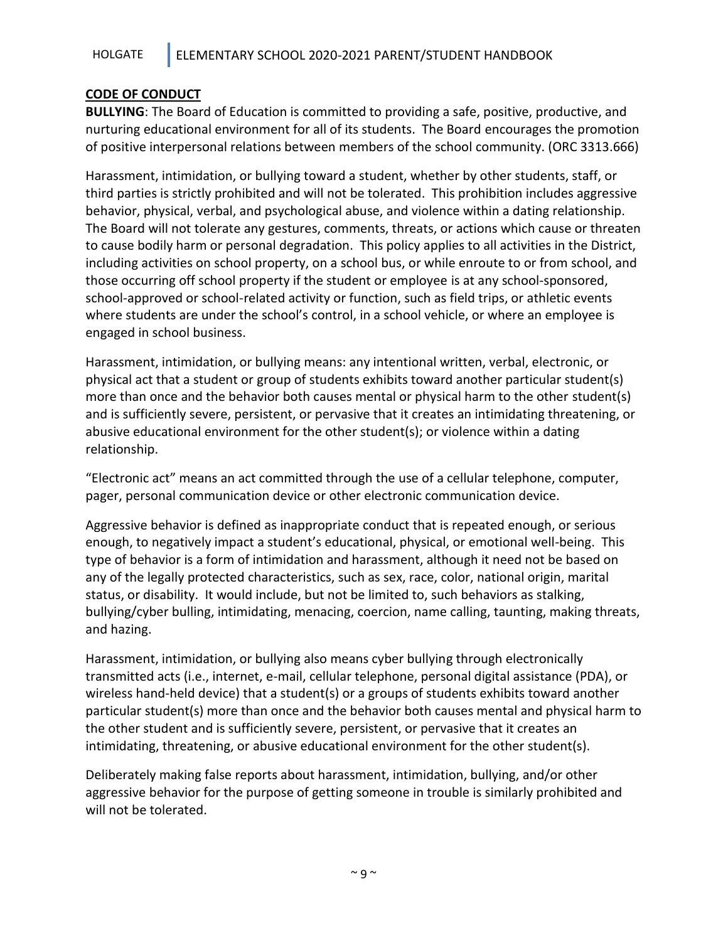#### **CODE OF CONDUCT**

**BULLYING**: The Board of Education is committed to providing a safe, positive, productive, and nurturing educational environment for all of its students. The Board encourages the promotion of positive interpersonal relations between members of the school community. (ORC 3313.666)

Harassment, intimidation, or bullying toward a student, whether by other students, staff, or third parties is strictly prohibited and will not be tolerated. This prohibition includes aggressive behavior, physical, verbal, and psychological abuse, and violence within a dating relationship. The Board will not tolerate any gestures, comments, threats, or actions which cause or threaten to cause bodily harm or personal degradation. This policy applies to all activities in the District, including activities on school property, on a school bus, or while enroute to or from school, and those occurring off school property if the student or employee is at any school-sponsored, school-approved or school-related activity or function, such as field trips, or athletic events where students are under the school's control, in a school vehicle, or where an employee is engaged in school business.

Harassment, intimidation, or bullying means: any intentional written, verbal, electronic, or physical act that a student or group of students exhibits toward another particular student(s) more than once and the behavior both causes mental or physical harm to the other student(s) and is sufficiently severe, persistent, or pervasive that it creates an intimidating threatening, or abusive educational environment for the other student(s); or violence within a dating relationship.

"Electronic act" means an act committed through the use of a cellular telephone, computer, pager, personal communication device or other electronic communication device.

Aggressive behavior is defined as inappropriate conduct that is repeated enough, or serious enough, to negatively impact a student's educational, physical, or emotional well-being. This type of behavior is a form of intimidation and harassment, although it need not be based on any of the legally protected characteristics, such as sex, race, color, national origin, marital status, or disability. It would include, but not be limited to, such behaviors as stalking, bullying/cyber bulling, intimidating, menacing, coercion, name calling, taunting, making threats, and hazing.

Harassment, intimidation, or bullying also means cyber bullying through electronically transmitted acts (i.e., internet, e-mail, cellular telephone, personal digital assistance (PDA), or wireless hand-held device) that a student(s) or a groups of students exhibits toward another particular student(s) more than once and the behavior both causes mental and physical harm to the other student and is sufficiently severe, persistent, or pervasive that it creates an intimidating, threatening, or abusive educational environment for the other student(s).

Deliberately making false reports about harassment, intimidation, bullying, and/or other aggressive behavior for the purpose of getting someone in trouble is similarly prohibited and will not be tolerated.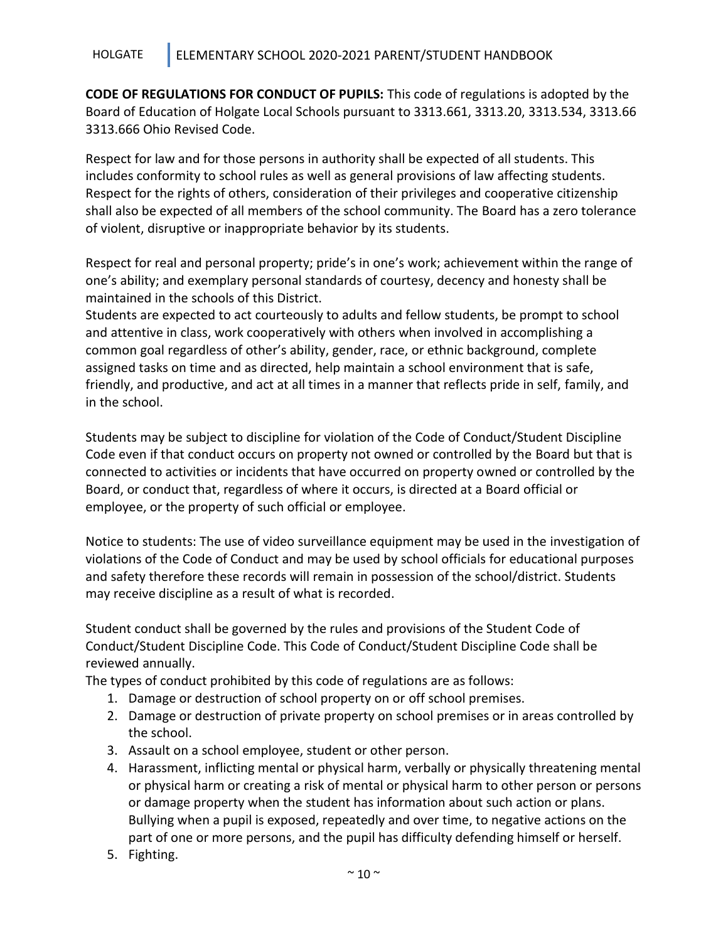**CODE OF REGULATIONS FOR CONDUCT OF PUPILS:** This code of regulations is adopted by the Board of Education of Holgate Local Schools pursuant to 3313.661, 3313.20, 3313.534, 3313.66 3313.666 Ohio Revised Code.

Respect for law and for those persons in authority shall be expected of all students. This includes conformity to school rules as well as general provisions of law affecting students. Respect for the rights of others, consideration of their privileges and cooperative citizenship shall also be expected of all members of the school community. The Board has a zero tolerance of violent, disruptive or inappropriate behavior by its students.

Respect for real and personal property; pride's in one's work; achievement within the range of one's ability; and exemplary personal standards of courtesy, decency and honesty shall be maintained in the schools of this District.

Students are expected to act courteously to adults and fellow students, be prompt to school and attentive in class, work cooperatively with others when involved in accomplishing a common goal regardless of other's ability, gender, race, or ethnic background, complete assigned tasks on time and as directed, help maintain a school environment that is safe, friendly, and productive, and act at all times in a manner that reflects pride in self, family, and in the school.

Students may be subject to discipline for violation of the Code of Conduct/Student Discipline Code even if that conduct occurs on property not owned or controlled by the Board but that is connected to activities or incidents that have occurred on property owned or controlled by the Board, or conduct that, regardless of where it occurs, is directed at a Board official or employee, or the property of such official or employee.

Notice to students: The use of video surveillance equipment may be used in the investigation of violations of the Code of Conduct and may be used by school officials for educational purposes and safety therefore these records will remain in possession of the school/district. Students may receive discipline as a result of what is recorded.

Student conduct shall be governed by the rules and provisions of the Student Code of Conduct/Student Discipline Code. This Code of Conduct/Student Discipline Code shall be reviewed annually.

The types of conduct prohibited by this code of regulations are as follows:

- 1. Damage or destruction of school property on or off school premises.
- 2. Damage or destruction of private property on school premises or in areas controlled by the school.
- 3. Assault on a school employee, student or other person.
- 4. Harassment, inflicting mental or physical harm, verbally or physically threatening mental or physical harm or creating a risk of mental or physical harm to other person or persons or damage property when the student has information about such action or plans. Bullying when a pupil is exposed, repeatedly and over time, to negative actions on the part of one or more persons, and the pupil has difficulty defending himself or herself.
- 5. Fighting.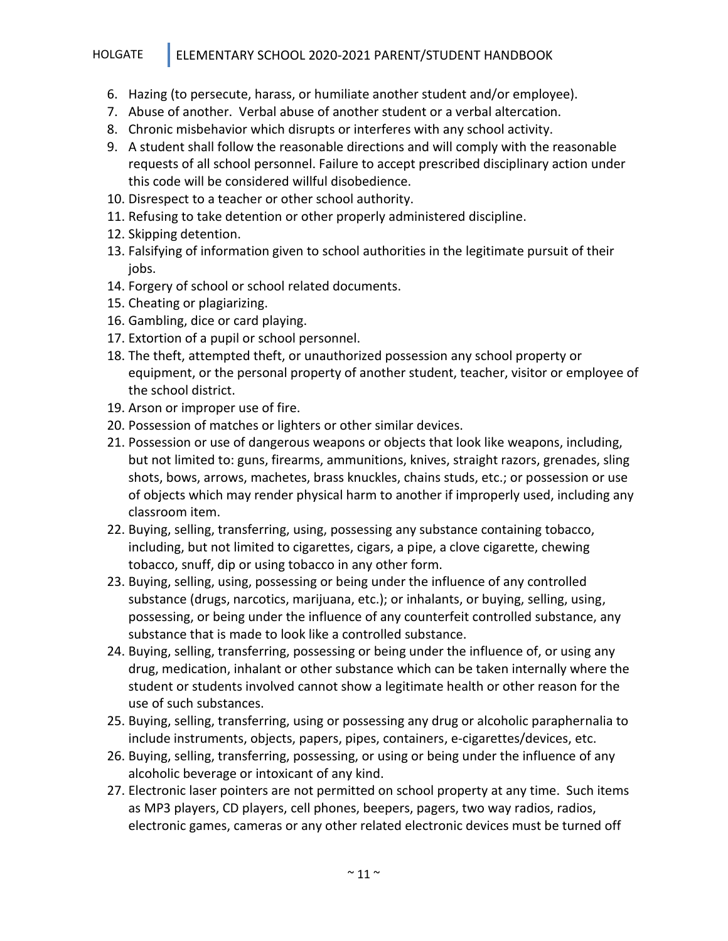- 6. Hazing (to persecute, harass, or humiliate another student and/or employee).
- 7. Abuse of another. Verbal abuse of another student or a verbal altercation.
- 8. Chronic misbehavior which disrupts or interferes with any school activity.
- 9. A student shall follow the reasonable directions and will comply with the reasonable requests of all school personnel. Failure to accept prescribed disciplinary action under this code will be considered willful disobedience.
- 10. Disrespect to a teacher or other school authority.
- 11. Refusing to take detention or other properly administered discipline.
- 12. Skipping detention.
- 13. Falsifying of information given to school authorities in the legitimate pursuit of their jobs.
- 14. Forgery of school or school related documents.
- 15. Cheating or plagiarizing.
- 16. Gambling, dice or card playing.
- 17. Extortion of a pupil or school personnel.
- 18. The theft, attempted theft, or unauthorized possession any school property or equipment, or the personal property of another student, teacher, visitor or employee of the school district.
- 19. Arson or improper use of fire.
- 20. Possession of matches or lighters or other similar devices.
- 21. Possession or use of dangerous weapons or objects that look like weapons, including, but not limited to: guns, firearms, ammunitions, knives, straight razors, grenades, sling shots, bows, arrows, machetes, brass knuckles, chains studs, etc.; or possession or use of objects which may render physical harm to another if improperly used, including any classroom item.
- 22. Buying, selling, transferring, using, possessing any substance containing tobacco, including, but not limited to cigarettes, cigars, a pipe, a clove cigarette, chewing tobacco, snuff, dip or using tobacco in any other form.
- 23. Buying, selling, using, possessing or being under the influence of any controlled substance (drugs, narcotics, marijuana, etc.); or inhalants, or buying, selling, using, possessing, or being under the influence of any counterfeit controlled substance, any substance that is made to look like a controlled substance.
- 24. Buying, selling, transferring, possessing or being under the influence of, or using any drug, medication, inhalant or other substance which can be taken internally where the student or students involved cannot show a legitimate health or other reason for the use of such substances.
- 25. Buying, selling, transferring, using or possessing any drug or alcoholic paraphernalia to include instruments, objects, papers, pipes, containers, e-cigarettes/devices, etc.
- 26. Buying, selling, transferring, possessing, or using or being under the influence of any alcoholic beverage or intoxicant of any kind.
- 27. Electronic laser pointers are not permitted on school property at any time. Such items as MP3 players, CD players, cell phones, beepers, pagers, two way radios, radios, electronic games, cameras or any other related electronic devices must be turned off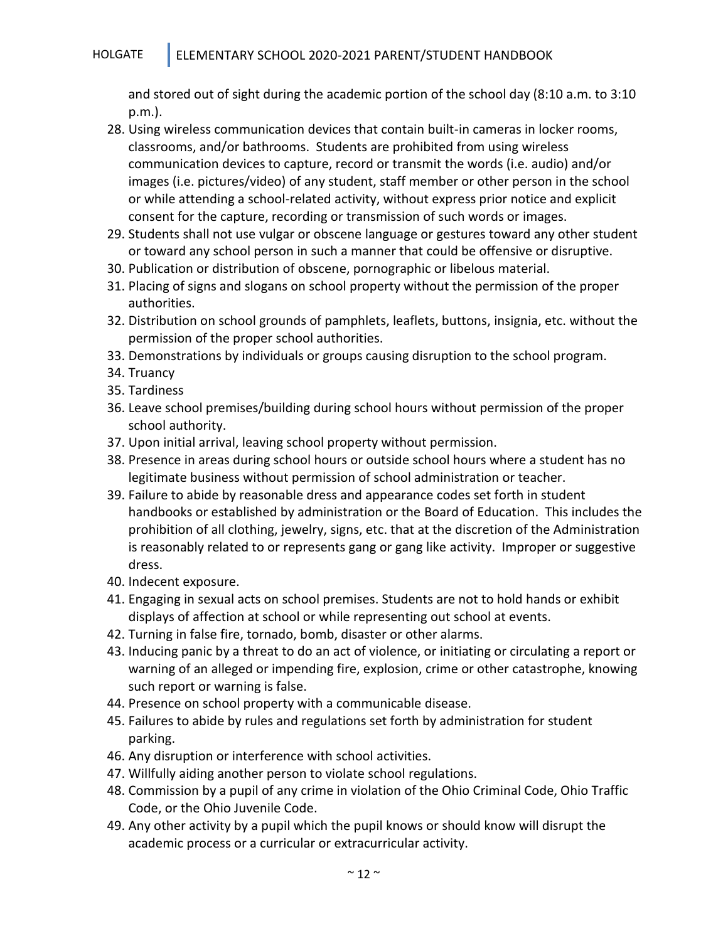and stored out of sight during the academic portion of the school day (8:10 a.m. to 3:10 p.m.).

- 28. Using wireless communication devices that contain built-in cameras in locker rooms, classrooms, and/or bathrooms. Students are prohibited from using wireless communication devices to capture, record or transmit the words (i.e. audio) and/or images (i.e. pictures/video) of any student, staff member or other person in the school or while attending a school-related activity, without express prior notice and explicit consent for the capture, recording or transmission of such words or images.
- 29. Students shall not use vulgar or obscene language or gestures toward any other student or toward any school person in such a manner that could be offensive or disruptive.
- 30. Publication or distribution of obscene, pornographic or libelous material.
- 31. Placing of signs and slogans on school property without the permission of the proper authorities.
- 32. Distribution on school grounds of pamphlets, leaflets, buttons, insignia, etc. without the permission of the proper school authorities.
- 33. Demonstrations by individuals or groups causing disruption to the school program.
- 34. Truancy
- 35. Tardiness
- 36. Leave school premises/building during school hours without permission of the proper school authority.
- 37. Upon initial arrival, leaving school property without permission.
- 38. Presence in areas during school hours or outside school hours where a student has no legitimate business without permission of school administration or teacher.
- 39. Failure to abide by reasonable dress and appearance codes set forth in student handbooks or established by administration or the Board of Education. This includes the prohibition of all clothing, jewelry, signs, etc. that at the discretion of the Administration is reasonably related to or represents gang or gang like activity. Improper or suggestive dress.
- 40. Indecent exposure.
- 41. Engaging in sexual acts on school premises. Students are not to hold hands or exhibit displays of affection at school or while representing out school at events.
- 42. Turning in false fire, tornado, bomb, disaster or other alarms.
- 43. Inducing panic by a threat to do an act of violence, or initiating or circulating a report or warning of an alleged or impending fire, explosion, crime or other catastrophe, knowing such report or warning is false.
- 44. Presence on school property with a communicable disease.
- 45. Failures to abide by rules and regulations set forth by administration for student parking.
- 46. Any disruption or interference with school activities.
- 47. Willfully aiding another person to violate school regulations.
- 48. Commission by a pupil of any crime in violation of the Ohio Criminal Code, Ohio Traffic Code, or the Ohio Juvenile Code.
- 49. Any other activity by a pupil which the pupil knows or should know will disrupt the academic process or a curricular or extracurricular activity.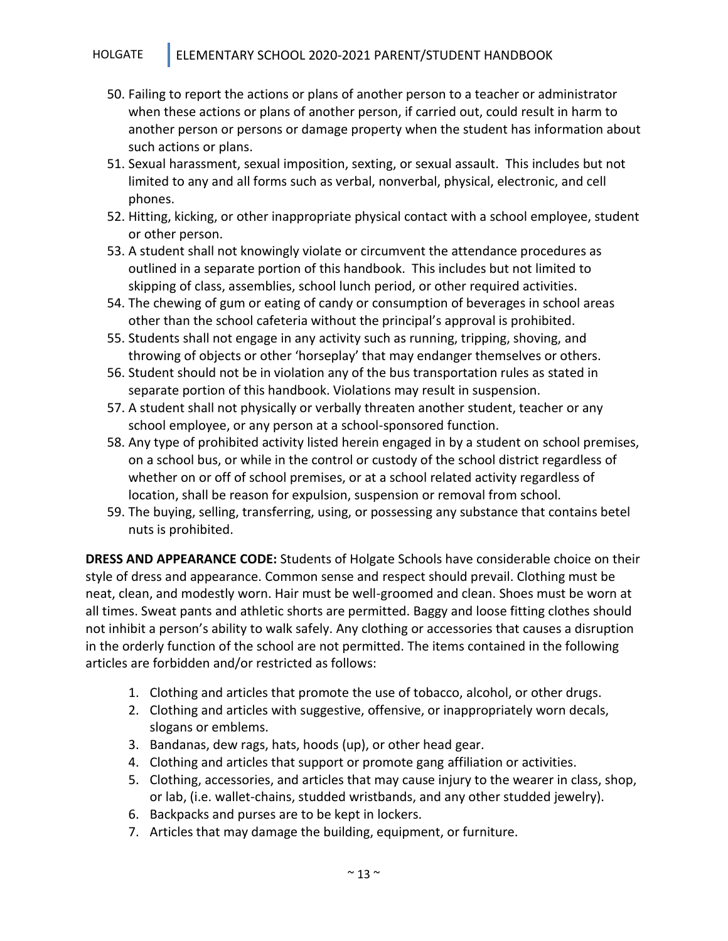- 50. Failing to report the actions or plans of another person to a teacher or administrator when these actions or plans of another person, if carried out, could result in harm to another person or persons or damage property when the student has information about such actions or plans.
- 51. Sexual harassment, sexual imposition, sexting, or sexual assault. This includes but not limited to any and all forms such as verbal, nonverbal, physical, electronic, and cell phones.
- 52. Hitting, kicking, or other inappropriate physical contact with a school employee, student or other person.
- 53. A student shall not knowingly violate or circumvent the attendance procedures as outlined in a separate portion of this handbook. This includes but not limited to skipping of class, assemblies, school lunch period, or other required activities.
- 54. The chewing of gum or eating of candy or consumption of beverages in school areas other than the school cafeteria without the principal's approval is prohibited.
- 55. Students shall not engage in any activity such as running, tripping, shoving, and throwing of objects or other 'horseplay' that may endanger themselves or others.
- 56. Student should not be in violation any of the bus transportation rules as stated in separate portion of this handbook. Violations may result in suspension.
- 57. A student shall not physically or verbally threaten another student, teacher or any school employee, or any person at a school-sponsored function.
- 58. Any type of prohibited activity listed herein engaged in by a student on school premises, on a school bus, or while in the control or custody of the school district regardless of whether on or off of school premises, or at a school related activity regardless of location, shall be reason for expulsion, suspension or removal from school.
- 59. The buying, selling, transferring, using, or possessing any substance that contains betel nuts is prohibited.

**DRESS AND APPEARANCE CODE:** Students of Holgate Schools have considerable choice on their style of dress and appearance. Common sense and respect should prevail. Clothing must be neat, clean, and modestly worn. Hair must be well-groomed and clean. Shoes must be worn at all times. Sweat pants and athletic shorts are permitted. Baggy and loose fitting clothes should not inhibit a person's ability to walk safely. Any clothing or accessories that causes a disruption in the orderly function of the school are not permitted. The items contained in the following articles are forbidden and/or restricted as follows:

- 1. Clothing and articles that promote the use of tobacco, alcohol, or other drugs.
- 2. Clothing and articles with suggestive, offensive, or inappropriately worn decals, slogans or emblems.
- 3. Bandanas, dew rags, hats, hoods (up), or other head gear.
- 4. Clothing and articles that support or promote gang affiliation or activities.
- 5. Clothing, accessories, and articles that may cause injury to the wearer in class, shop, or lab, (i.e. wallet-chains, studded wristbands, and any other studded jewelry).
- 6. Backpacks and purses are to be kept in lockers.
- 7. Articles that may damage the building, equipment, or furniture.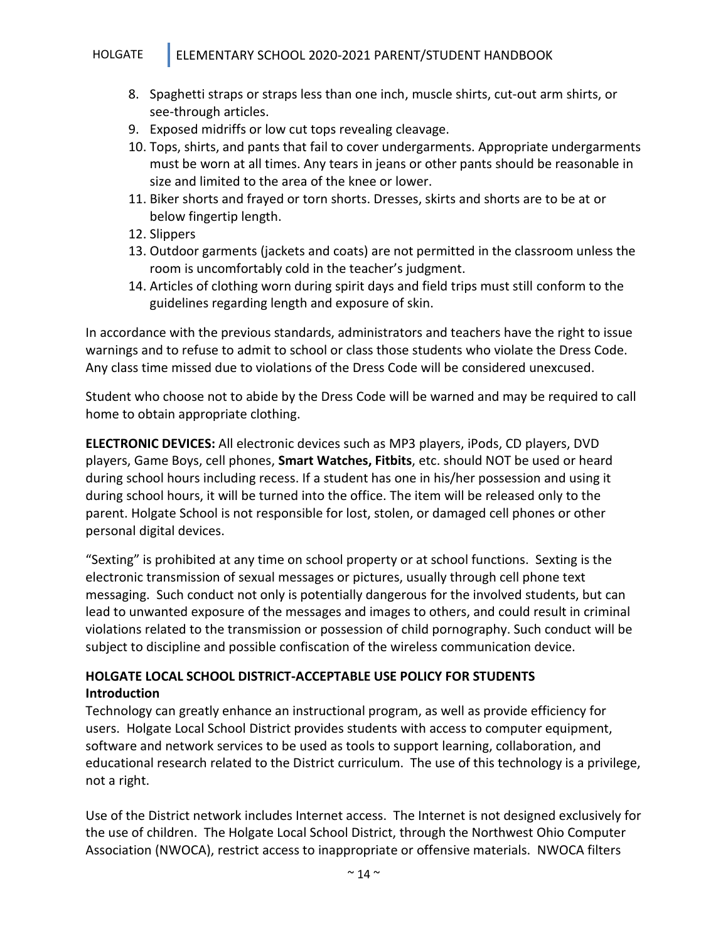- 8. Spaghetti straps or straps less than one inch, muscle shirts, cut-out arm shirts, or see-through articles.
- 9. Exposed midriffs or low cut tops revealing cleavage.
- 10. Tops, shirts, and pants that fail to cover undergarments. Appropriate undergarments must be worn at all times. Any tears in jeans or other pants should be reasonable in size and limited to the area of the knee or lower.
- 11. Biker shorts and frayed or torn shorts. Dresses, skirts and shorts are to be at or below fingertip length.
- 12. Slippers
- 13. Outdoor garments (jackets and coats) are not permitted in the classroom unless the room is uncomfortably cold in the teacher's judgment.
- 14. Articles of clothing worn during spirit days and field trips must still conform to the guidelines regarding length and exposure of skin.

In accordance with the previous standards, administrators and teachers have the right to issue warnings and to refuse to admit to school or class those students who violate the Dress Code. Any class time missed due to violations of the Dress Code will be considered unexcused.

Student who choose not to abide by the Dress Code will be warned and may be required to call home to obtain appropriate clothing.

**ELECTRONIC DEVICES:** All electronic devices such as MP3 players, iPods, CD players, DVD players, Game Boys, cell phones, **Smart Watches, Fitbits**, etc. should NOT be used or heard during school hours including recess. If a student has one in his/her possession and using it during school hours, it will be turned into the office. The item will be released only to the parent. Holgate School is not responsible for lost, stolen, or damaged cell phones or other personal digital devices.

"Sexting" is prohibited at any time on school property or at school functions. Sexting is the electronic transmission of sexual messages or pictures, usually through cell phone text messaging. Such conduct not only is potentially dangerous for the involved students, but can lead to unwanted exposure of the messages and images to others, and could result in criminal violations related to the transmission or possession of child pornography. Such conduct will be subject to discipline and possible confiscation of the wireless communication device.

#### **HOLGATE LOCAL SCHOOL DISTRICT-ACCEPTABLE USE POLICY FOR STUDENTS Introduction**

Technology can greatly enhance an instructional program, as well as provide efficiency for users. Holgate Local School District provides students with access to computer equipment, software and network services to be used as tools to support learning, collaboration, and educational research related to the District curriculum. The use of this technology is a privilege, not a right.

Use of the District network includes Internet access. The Internet is not designed exclusively for the use of children. The Holgate Local School District, through the Northwest Ohio Computer Association (NWOCA), restrict access to inappropriate or offensive materials. NWOCA filters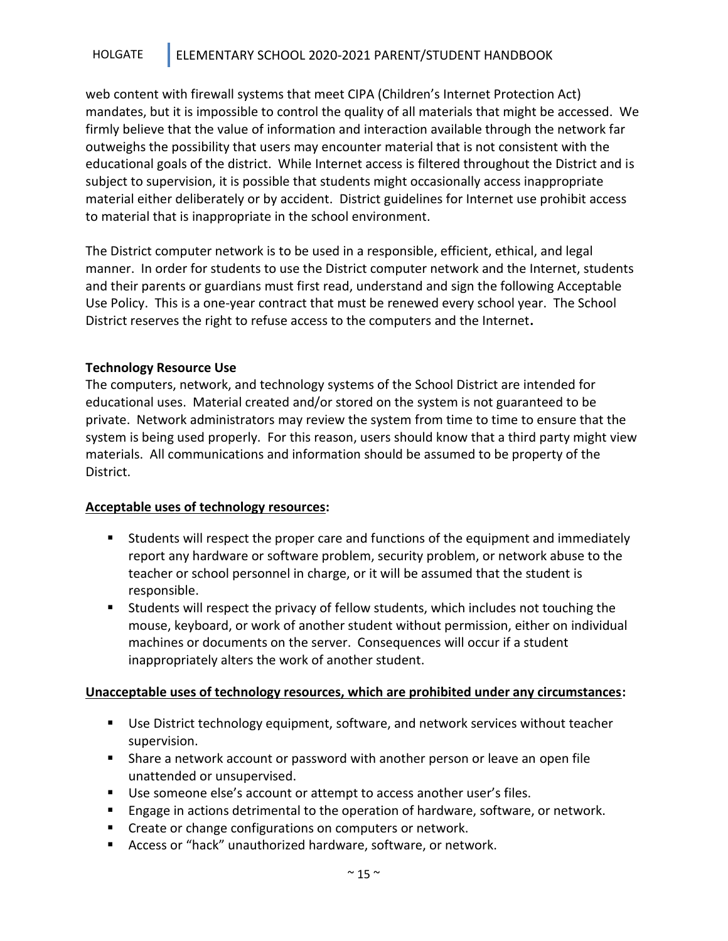web content with firewall systems that meet CIPA (Children's Internet Protection Act) mandates, but it is impossible to control the quality of all materials that might be accessed. We firmly believe that the value of information and interaction available through the network far outweighs the possibility that users may encounter material that is not consistent with the educational goals of the district. While Internet access is filtered throughout the District and is subject to supervision, it is possible that students might occasionally access inappropriate material either deliberately or by accident. District guidelines for Internet use prohibit access to material that is inappropriate in the school environment.

The District computer network is to be used in a responsible, efficient, ethical, and legal manner. In order for students to use the District computer network and the Internet, students and their parents or guardians must first read, understand and sign the following Acceptable Use Policy. This is a one-year contract that must be renewed every school year. The School District reserves the right to refuse access to the computers and the Internet**.**

#### **Technology Resource Use**

The computers, network, and technology systems of the School District are intended for educational uses. Material created and/or stored on the system is not guaranteed to be private. Network administrators may review the system from time to time to ensure that the system is being used properly. For this reason, users should know that a third party might view materials. All communications and information should be assumed to be property of the District.

#### **Acceptable uses of technology resources:**

- Students will respect the proper care and functions of the equipment and immediately report any hardware or software problem, security problem, or network abuse to the teacher or school personnel in charge, or it will be assumed that the student is responsible.
- Students will respect the privacy of fellow students, which includes not touching the mouse, keyboard, or work of another student without permission, either on individual machines or documents on the server. Consequences will occur if a student inappropriately alters the work of another student.

#### **Unacceptable uses of technology resources, which are prohibited under any circumstances:**

- Use District technology equipment, software, and network services without teacher supervision.
- Share a network account or password with another person or leave an open file unattended or unsupervised.
- Use someone else's account or attempt to access another user's files.
- Engage in actions detrimental to the operation of hardware, software, or network.
- Create or change configurations on computers or network.
- Access or "hack" unauthorized hardware, software, or network.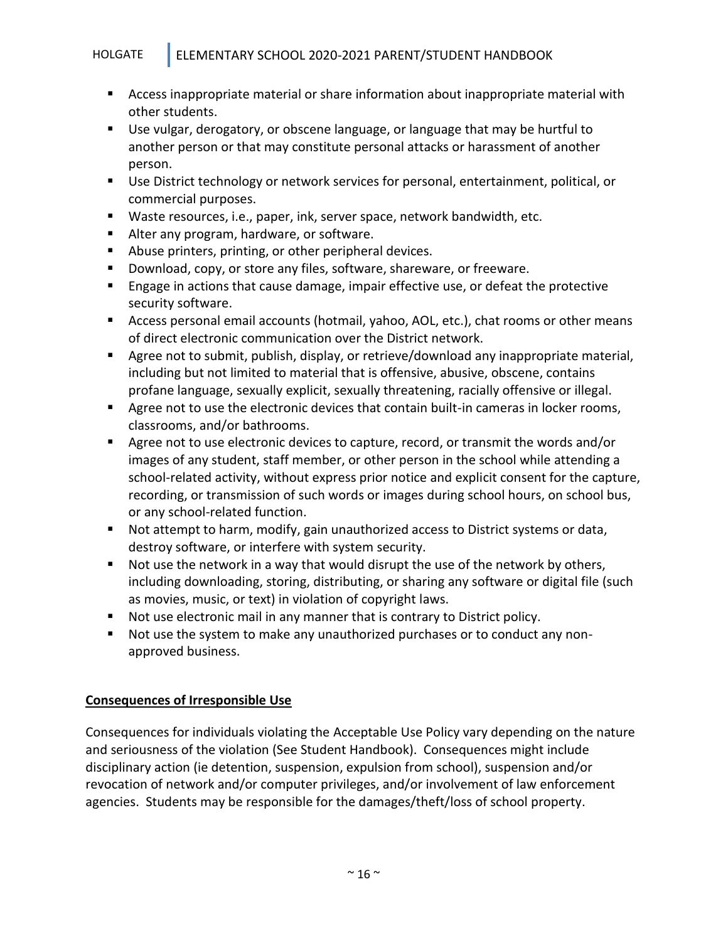- Access inappropriate material or share information about inappropriate material with other students.
- Use vulgar, derogatory, or obscene language, or language that may be hurtful to another person or that may constitute personal attacks or harassment of another person.
- Use District technology or network services for personal, entertainment, political, or commercial purposes.
- Waste resources, i.e., paper, ink, server space, network bandwidth, etc.
- Alter any program, hardware, or software.
- Abuse printers, printing, or other peripheral devices.
- Download, copy, or store any files, software, shareware, or freeware.
- Engage in actions that cause damage, impair effective use, or defeat the protective security software.
- Access personal email accounts (hotmail, yahoo, AOL, etc.), chat rooms or other means of direct electronic communication over the District network.
- Agree not to submit, publish, display, or retrieve/download any inappropriate material, including but not limited to material that is offensive, abusive, obscene, contains profane language, sexually explicit, sexually threatening, racially offensive or illegal.
- Agree not to use the electronic devices that contain built-in cameras in locker rooms, classrooms, and/or bathrooms.
- Agree not to use electronic devices to capture, record, or transmit the words and/or images of any student, staff member, or other person in the school while attending a school-related activity, without express prior notice and explicit consent for the capture, recording, or transmission of such words or images during school hours, on school bus, or any school-related function.
- Not attempt to harm, modify, gain unauthorized access to District systems or data, destroy software, or interfere with system security.
- Not use the network in a way that would disrupt the use of the network by others, including downloading, storing, distributing, or sharing any software or digital file (such as movies, music, or text) in violation of copyright laws.
- Not use electronic mail in any manner that is contrary to District policy.
- Not use the system to make any unauthorized purchases or to conduct any nonapproved business.

#### **Consequences of Irresponsible Use**

Consequences for individuals violating the Acceptable Use Policy vary depending on the nature and seriousness of the violation (See Student Handbook). Consequences might include disciplinary action (ie detention, suspension, expulsion from school), suspension and/or revocation of network and/or computer privileges, and/or involvement of law enforcement agencies. Students may be responsible for the damages/theft/loss of school property.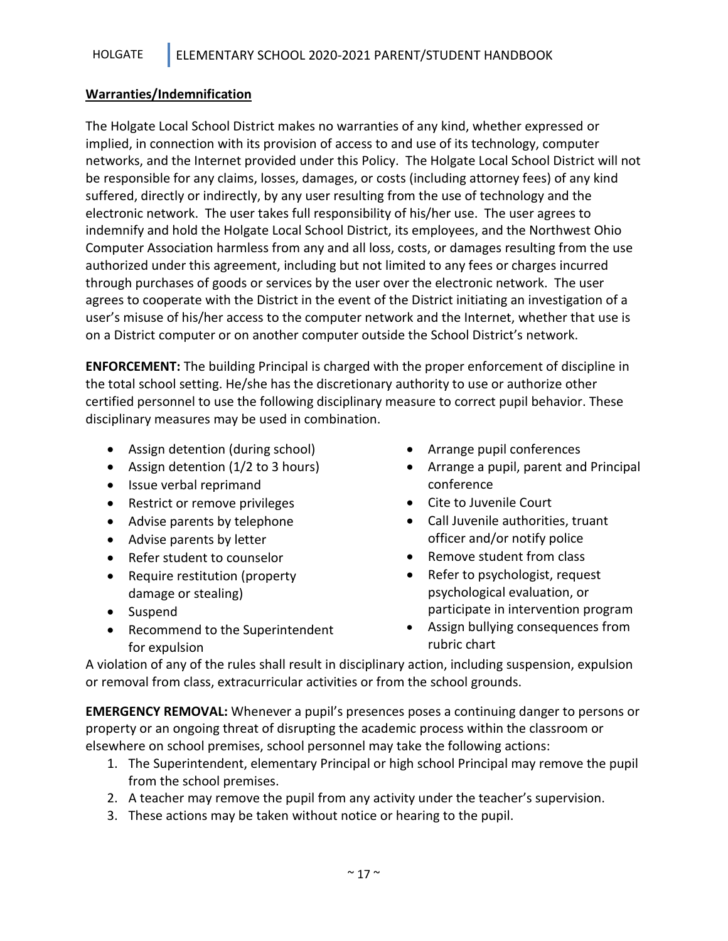#### **Warranties/Indemnification**

The Holgate Local School District makes no warranties of any kind, whether expressed or implied, in connection with its provision of access to and use of its technology, computer networks, and the Internet provided under this Policy. The Holgate Local School District will not be responsible for any claims, losses, damages, or costs (including attorney fees) of any kind suffered, directly or indirectly, by any user resulting from the use of technology and the electronic network. The user takes full responsibility of his/her use. The user agrees to indemnify and hold the Holgate Local School District, its employees, and the Northwest Ohio Computer Association harmless from any and all loss, costs, or damages resulting from the use authorized under this agreement, including but not limited to any fees or charges incurred through purchases of goods or services by the user over the electronic network. The user agrees to cooperate with the District in the event of the District initiating an investigation of a user's misuse of his/her access to the computer network and the Internet, whether that use is on a District computer or on another computer outside the School District's network.

**ENFORCEMENT:** The building Principal is charged with the proper enforcement of discipline in the total school setting. He/she has the discretionary authority to use or authorize other certified personnel to use the following disciplinary measure to correct pupil behavior. These disciplinary measures may be used in combination.

- Assign detention (during school)
- Assign detention (1/2 to 3 hours)
- Issue verbal reprimand
- Restrict or remove privileges
- Advise parents by telephone
- Advise parents by letter
- Refer student to counselor
- Require restitution (property damage or stealing)
- Suspend
- Recommend to the Superintendent for expulsion
- Arrange pupil conferences
- Arrange a pupil, parent and Principal conference
- Cite to Juvenile Court
- Call Juvenile authorities, truant officer and/or notify police
- Remove student from class
- Refer to psychologist, request psychological evaluation, or participate in intervention program
- Assign bullying consequences from rubric chart

A violation of any of the rules shall result in disciplinary action, including suspension, expulsion or removal from class, extracurricular activities or from the school grounds.

**EMERGENCY REMOVAL:** Whenever a pupil's presences poses a continuing danger to persons or property or an ongoing threat of disrupting the academic process within the classroom or elsewhere on school premises, school personnel may take the following actions:

- 1. The Superintendent, elementary Principal or high school Principal may remove the pupil from the school premises.
- 2. A teacher may remove the pupil from any activity under the teacher's supervision.
- 3. These actions may be taken without notice or hearing to the pupil.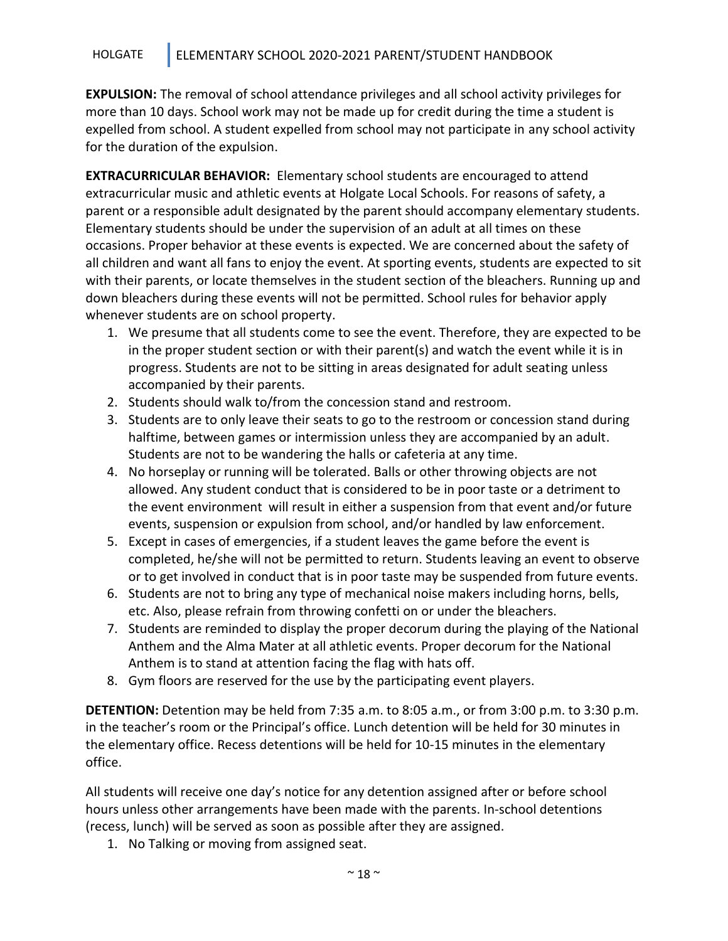**EXPULSION:** The removal of school attendance privileges and all school activity privileges for more than 10 days. School work may not be made up for credit during the time a student is expelled from school. A student expelled from school may not participate in any school activity for the duration of the expulsion.

**EXTRACURRICULAR BEHAVIOR:** Elementary school students are encouraged to attend extracurricular music and athletic events at Holgate Local Schools. For reasons of safety, a parent or a responsible adult designated by the parent should accompany elementary students. Elementary students should be under the supervision of an adult at all times on these occasions. Proper behavior at these events is expected. We are concerned about the safety of all children and want all fans to enjoy the event. At sporting events, students are expected to sit with their parents, or locate themselves in the student section of the bleachers. Running up and down bleachers during these events will not be permitted. School rules for behavior apply whenever students are on school property.

- 1. We presume that all students come to see the event. Therefore, they are expected to be in the proper student section or with their parent(s) and watch the event while it is in progress. Students are not to be sitting in areas designated for adult seating unless accompanied by their parents.
- 2. Students should walk to/from the concession stand and restroom.
- 3. Students are to only leave their seats to go to the restroom or concession stand during halftime, between games or intermission unless they are accompanied by an adult. Students are not to be wandering the halls or cafeteria at any time.
- 4. No horseplay or running will be tolerated. Balls or other throwing objects are not allowed. Any student conduct that is considered to be in poor taste or a detriment to the event environment will result in either a suspension from that event and/or future events, suspension or expulsion from school, and/or handled by law enforcement.
- 5. Except in cases of emergencies, if a student leaves the game before the event is completed, he/she will not be permitted to return. Students leaving an event to observe or to get involved in conduct that is in poor taste may be suspended from future events.
- 6. Students are not to bring any type of mechanical noise makers including horns, bells, etc. Also, please refrain from throwing confetti on or under the bleachers.
- 7. Students are reminded to display the proper decorum during the playing of the National Anthem and the Alma Mater at all athletic events. Proper decorum for the National Anthem is to stand at attention facing the flag with hats off.
- 8. Gym floors are reserved for the use by the participating event players.

**DETENTION:** Detention may be held from 7:35 a.m. to 8:05 a.m., or from 3:00 p.m. to 3:30 p.m. in the teacher's room or the Principal's office. Lunch detention will be held for 30 minutes in the elementary office. Recess detentions will be held for 10-15 minutes in the elementary office.

All students will receive one day's notice for any detention assigned after or before school hours unless other arrangements have been made with the parents. In-school detentions (recess, lunch) will be served as soon as possible after they are assigned.

1. No Talking or moving from assigned seat.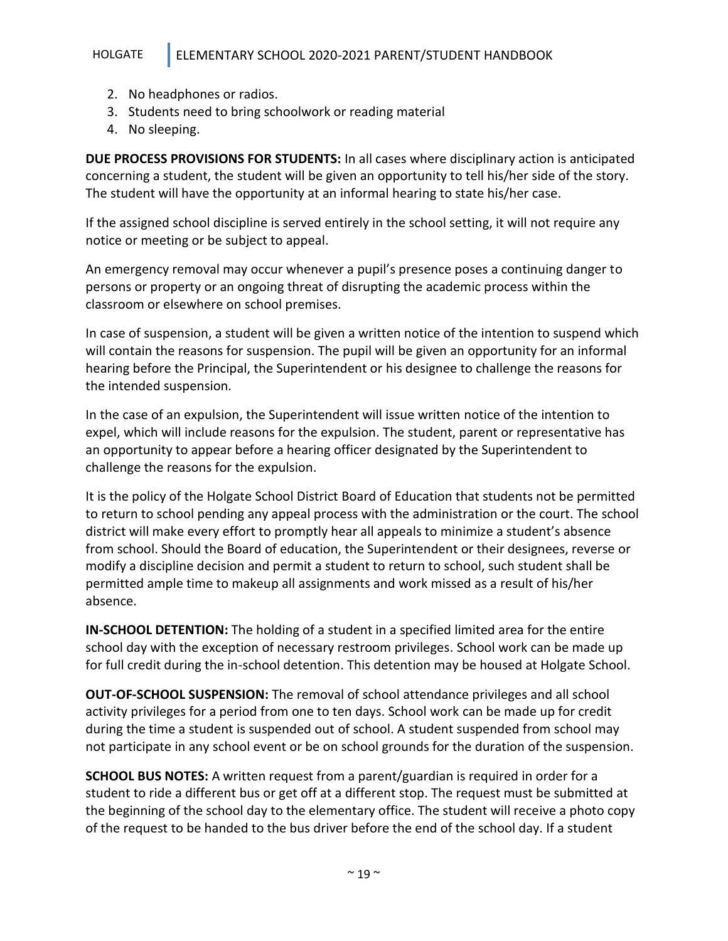- 2. No headphones or radios.
- 3. Students need to bring schoolwork or reading material
- 4. No sleeping.

**DUE PROCESS PROVISIONS FOR STUDENTS:** In all cases where disciplinary action is anticipated concerning a student, the student will be given an opportunity to tell his/her side of the story. The student will have the opportunity at an informal hearing to state his/her case.

If the assigned school discipline is served entirely in the school setting, it will not require any notice or meeting or be subject to appeal.

An emergency removal may occur whenever a pupil's presence poses a continuing danger to persons or property or an ongoing threat of disrupting the academic process within the classroom or elsewhere on school premises.

In case of suspension, a student will be given a written notice of the intention to suspend which will contain the reasons for suspension. The pupil will be given an opportunity for an informal hearing before the Principal, the Superintendent or his designee to challenge the reasons for the intended suspension.

In the case of an expulsion, the Superintendent will issue written notice of the intention to expel, which will include reasons for the expulsion. The student, parent or representative has an opportunity to appear before a hearing officer designated by the Superintendent to challenge the reasons for the expulsion.

It is the policy of the Holgate School District Board of Education that students not be permitted to return to school pending any appeal process with the administration or the court. The school district will make every effort to promptly hear all appeals to minimize a student's absence from school. Should the Board of education, the Superintendent or their designees, reverse or modify a discipline decision and permit a student to return to school, such student shall be permitted ample time to makeup all assignments and work missed as a result of his/her absence.

**IN-SCHOOL DETENTION:** The holding of a student in a specified limited area for the entire school day with the exception of necessary restroom privileges. School work can be made up for full credit during the in-school detention. This detention may be housed at Holgate School.

**OUT-OF-SCHOOL SUSPENSION:** The removal of school attendance privileges and all school activity privileges for a period from one to ten days. School work can be made up for credit during the time a student is suspended out of school. A student suspended from school may not participate in any school event or be on school grounds for the duration of the suspension.

**SCHOOL BUS NOTES:** A written request from a parent/guardian is required in order for a student to ride a different bus or get off at a different stop. The request must be submitted at the beginning of the school day to the elementary office. The student will receive a photo copy of the request to be handed to the bus driver before the end of the school day. If a student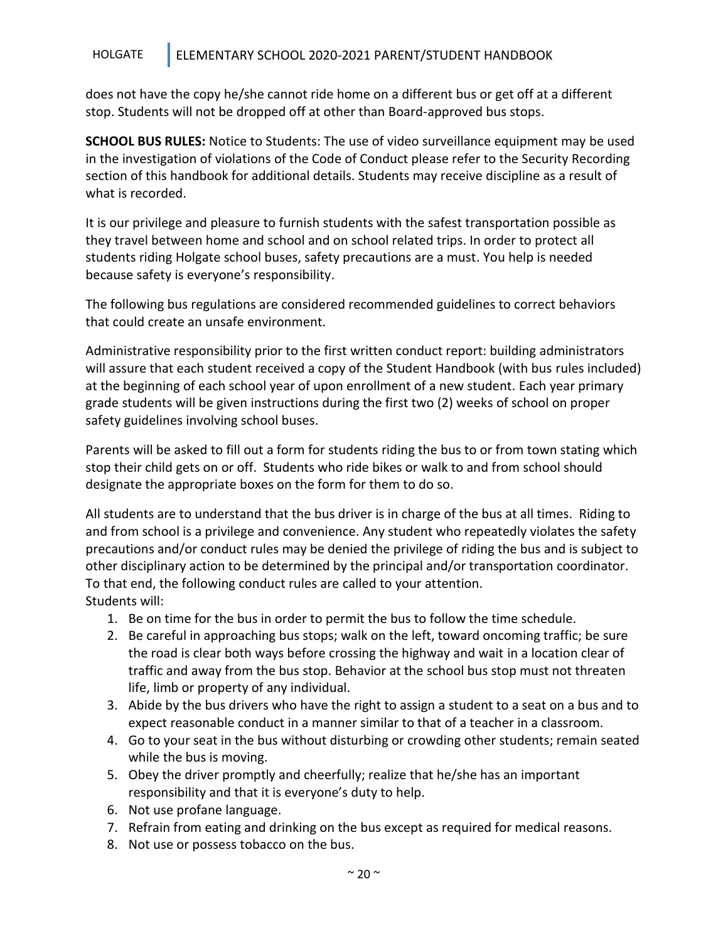does not have the copy he/she cannot ride home on a different bus or get off at a different stop. Students will not be dropped off at other than Board-approved bus stops.

**SCHOOL BUS RULES:** Notice to Students: The use of video surveillance equipment may be used in the investigation of violations of the Code of Conduct please refer to the Security Recording section of this handbook for additional details. Students may receive discipline as a result of what is recorded.

It is our privilege and pleasure to furnish students with the safest transportation possible as they travel between home and school and on school related trips. In order to protect all students riding Holgate school buses, safety precautions are a must. You help is needed because safety is everyone's responsibility.

The following bus regulations are considered recommended guidelines to correct behaviors that could create an unsafe environment.

Administrative responsibility prior to the first written conduct report: building administrators will assure that each student received a copy of the Student Handbook (with bus rules included) at the beginning of each school year of upon enrollment of a new student. Each year primary grade students will be given instructions during the first two (2) weeks of school on proper safety guidelines involving school buses.

Parents will be asked to fill out a form for students riding the bus to or from town stating which stop their child gets on or off. Students who ride bikes or walk to and from school should designate the appropriate boxes on the form for them to do so.

All students are to understand that the bus driver is in charge of the bus at all times. Riding to and from school is a privilege and convenience. Any student who repeatedly violates the safety precautions and/or conduct rules may be denied the privilege of riding the bus and is subject to other disciplinary action to be determined by the principal and/or transportation coordinator. To that end, the following conduct rules are called to your attention. Students will:

- 1. Be on time for the bus in order to permit the bus to follow the time schedule.
- 2. Be careful in approaching bus stops; walk on the left, toward oncoming traffic; be sure the road is clear both ways before crossing the highway and wait in a location clear of traffic and away from the bus stop. Behavior at the school bus stop must not threaten life, limb or property of any individual.
- 3. Abide by the bus drivers who have the right to assign a student to a seat on a bus and to expect reasonable conduct in a manner similar to that of a teacher in a classroom.
- 4. Go to your seat in the bus without disturbing or crowding other students; remain seated while the bus is moving.
- 5. Obey the driver promptly and cheerfully; realize that he/she has an important responsibility and that it is everyone's duty to help.
- 6. Not use profane language.
- 7. Refrain from eating and drinking on the bus except as required for medical reasons.
- 8. Not use or possess tobacco on the bus.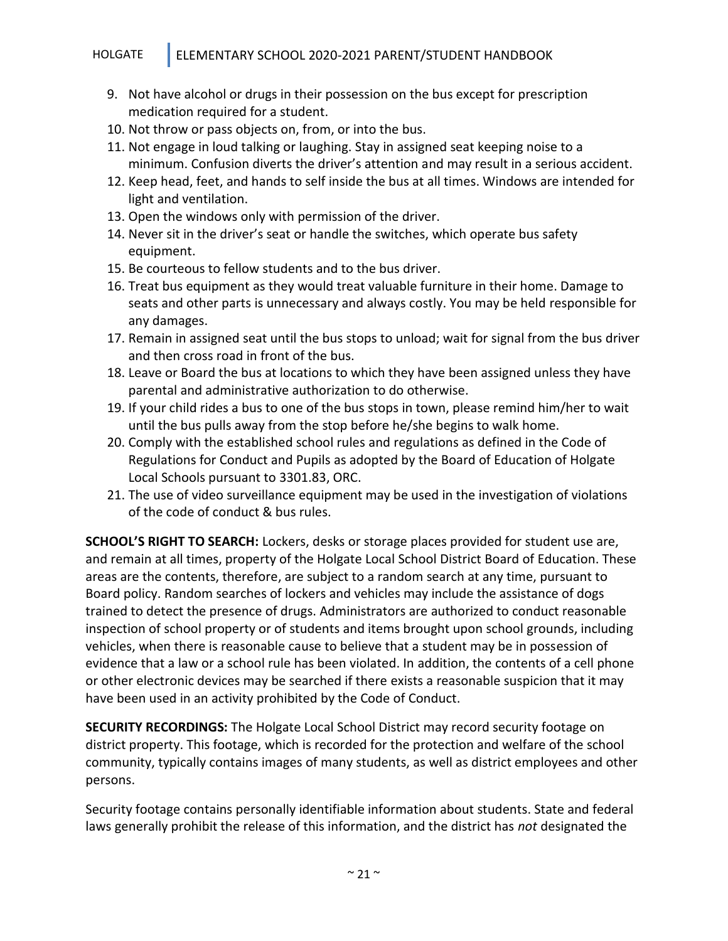- 9. Not have alcohol or drugs in their possession on the bus except for prescription medication required for a student.
- 10. Not throw or pass objects on, from, or into the bus.
- 11. Not engage in loud talking or laughing. Stay in assigned seat keeping noise to a minimum. Confusion diverts the driver's attention and may result in a serious accident.
- 12. Keep head, feet, and hands to self inside the bus at all times. Windows are intended for light and ventilation.
- 13. Open the windows only with permission of the driver.
- 14. Never sit in the driver's seat or handle the switches, which operate bus safety equipment.
- 15. Be courteous to fellow students and to the bus driver.
- 16. Treat bus equipment as they would treat valuable furniture in their home. Damage to seats and other parts is unnecessary and always costly. You may be held responsible for any damages.
- 17. Remain in assigned seat until the bus stops to unload; wait for signal from the bus driver and then cross road in front of the bus.
- 18. Leave or Board the bus at locations to which they have been assigned unless they have parental and administrative authorization to do otherwise.
- 19. If your child rides a bus to one of the bus stops in town, please remind him/her to wait until the bus pulls away from the stop before he/she begins to walk home.
- 20. Comply with the established school rules and regulations as defined in the Code of Regulations for Conduct and Pupils as adopted by the Board of Education of Holgate Local Schools pursuant to 3301.83, ORC.
- 21. The use of video surveillance equipment may be used in the investigation of violations of the code of conduct & bus rules.

**SCHOOL'S RIGHT TO SEARCH:** Lockers, desks or storage places provided for student use are, and remain at all times, property of the Holgate Local School District Board of Education. These areas are the contents, therefore, are subject to a random search at any time, pursuant to Board policy. Random searches of lockers and vehicles may include the assistance of dogs trained to detect the presence of drugs. Administrators are authorized to conduct reasonable inspection of school property or of students and items brought upon school grounds, including vehicles, when there is reasonable cause to believe that a student may be in possession of evidence that a law or a school rule has been violated. In addition, the contents of a cell phone or other electronic devices may be searched if there exists a reasonable suspicion that it may have been used in an activity prohibited by the Code of Conduct.

**SECURITY RECORDINGS:** The Holgate Local School District may record security footage on district property. This footage, which is recorded for the protection and welfare of the school community, typically contains images of many students, as well as district employees and other persons.

Security footage contains personally identifiable information about students. State and federal laws generally prohibit the release of this information, and the district has *not* designated the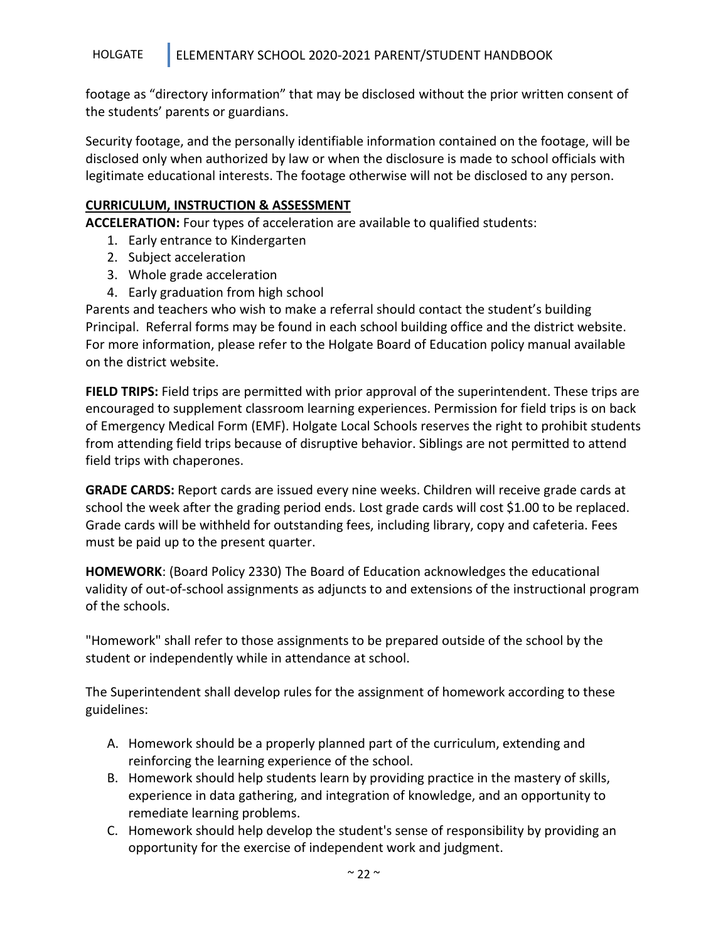footage as "directory information" that may be disclosed without the prior written consent of the students' parents or guardians.

Security footage, and the personally identifiable information contained on the footage, will be disclosed only when authorized by law or when the disclosure is made to school officials with legitimate educational interests. The footage otherwise will not be disclosed to any person.

#### **CURRICULUM, INSTRUCTION & ASSESSMENT**

**ACCELERATION:** Four types of acceleration are available to qualified students:

- 1. Early entrance to Kindergarten
- 2. Subject acceleration
- 3. Whole grade acceleration
- 4. Early graduation from high school

Parents and teachers who wish to make a referral should contact the student's building Principal. Referral forms may be found in each school building office and the district website. For more information, please refer to the Holgate Board of Education policy manual available on the district website.

**FIELD TRIPS:** Field trips are permitted with prior approval of the superintendent. These trips are encouraged to supplement classroom learning experiences. Permission for field trips is on back of Emergency Medical Form (EMF). Holgate Local Schools reserves the right to prohibit students from attending field trips because of disruptive behavior. Siblings are not permitted to attend field trips with chaperones.

**GRADE CARDS:** Report cards are issued every nine weeks. Children will receive grade cards at school the week after the grading period ends. Lost grade cards will cost \$1.00 to be replaced. Grade cards will be withheld for outstanding fees, including library, copy and cafeteria. Fees must be paid up to the present quarter.

**HOMEWORK**: (Board Policy 2330) The Board of Education acknowledges the educational validity of out-of-school assignments as adjuncts to and extensions of the instructional program of the schools.

"Homework" shall refer to those assignments to be prepared outside of the school by the student or independently while in attendance at school.

The Superintendent shall develop rules for the assignment of homework according to these guidelines:

- A. Homework should be a properly planned part of the curriculum, extending and reinforcing the learning experience of the school.
- B. Homework should help students learn by providing practice in the mastery of skills, experience in data gathering, and integration of knowledge, and an opportunity to remediate learning problems.
- C. Homework should help develop the student's sense of responsibility by providing an opportunity for the exercise of independent work and judgment.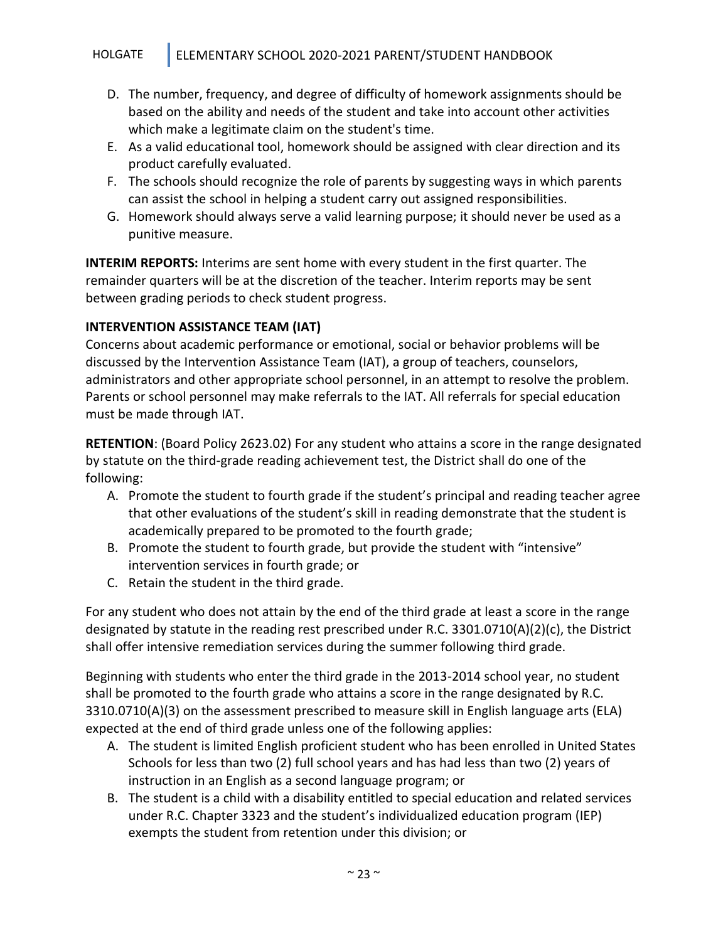- D. The number, frequency, and degree of difficulty of homework assignments should be based on the ability and needs of the student and take into account other activities which make a legitimate claim on the student's time.
- E. As a valid educational tool, homework should be assigned with clear direction and its product carefully evaluated.
- F. The schools should recognize the role of parents by suggesting ways in which parents can assist the school in helping a student carry out assigned responsibilities.
- G. Homework should always serve a valid learning purpose; it should never be used as a punitive measure.

**INTERIM REPORTS:** Interims are sent home with every student in the first quarter. The remainder quarters will be at the discretion of the teacher. Interim reports may be sent between grading periods to check student progress.

#### **INTERVENTION ASSISTANCE TEAM (IAT)**

Concerns about academic performance or emotional, social or behavior problems will be discussed by the Intervention Assistance Team (IAT), a group of teachers, counselors, administrators and other appropriate school personnel, in an attempt to resolve the problem. Parents or school personnel may make referrals to the IAT. All referrals for special education must be made through IAT.

**RETENTION**: (Board Policy 2623.02) For any student who attains a score in the range designated by statute on the third-grade reading achievement test, the District shall do one of the following:

- A. Promote the student to fourth grade if the student's principal and reading teacher agree that other evaluations of the student's skill in reading demonstrate that the student is academically prepared to be promoted to the fourth grade;
- B. Promote the student to fourth grade, but provide the student with "intensive" intervention services in fourth grade; or
- C. Retain the student in the third grade.

For any student who does not attain by the end of the third grade at least a score in the range designated by statute in the reading rest prescribed under R.C. 3301.0710(A)(2)(c), the District shall offer intensive remediation services during the summer following third grade.

Beginning with students who enter the third grade in the 2013-2014 school year, no student shall be promoted to the fourth grade who attains a score in the range designated by R.C. 3310.0710(A)(3) on the assessment prescribed to measure skill in English language arts (ELA) expected at the end of third grade unless one of the following applies:

- A. The student is limited English proficient student who has been enrolled in United States Schools for less than two (2) full school years and has had less than two (2) years of instruction in an English as a second language program; or
- B. The student is a child with a disability entitled to special education and related services under R.C. Chapter 3323 and the student's individualized education program (IEP) exempts the student from retention under this division; or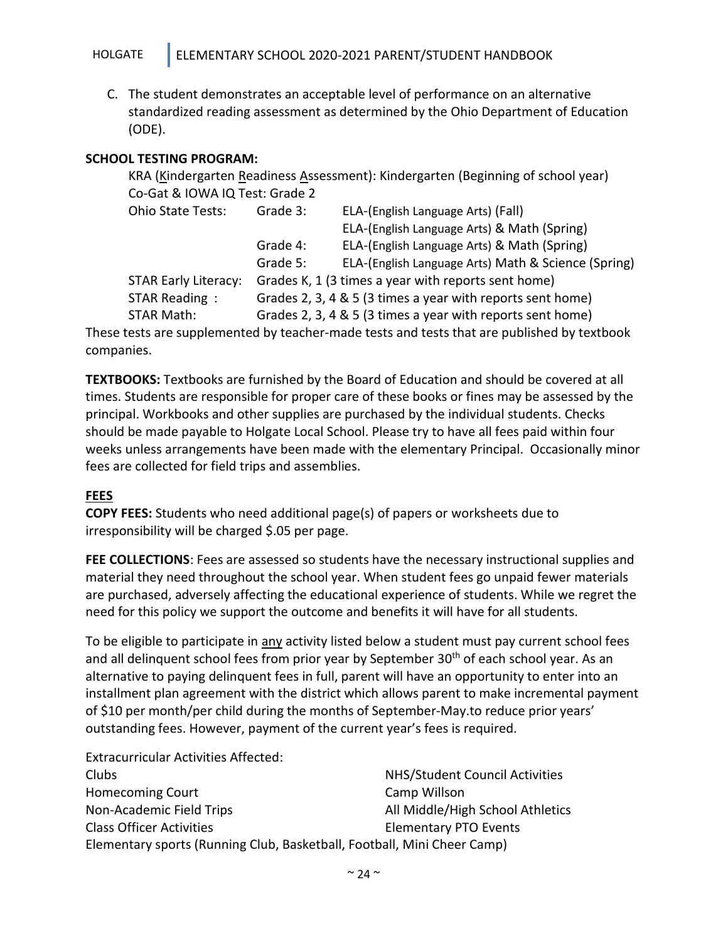C. The student demonstrates an acceptable level of performance on an alternative standardized reading assessment as determined by the Ohio Department of Education (ODE).

#### **SCHOOL TESTING PROGRAM:**

KRA (Kindergarten Readiness Assessment): Kindergarten (Beginning of school year) Co-Gat & IOWA IQ Test: Grade 2

| <b>Ohio State Tests:</b>    | Grade 3: | ELA-(English Language Arts) (Fall)                         |
|-----------------------------|----------|------------------------------------------------------------|
|                             |          | ELA-(English Language Arts) & Math (Spring)                |
|                             | Grade 4: | ELA-(English Language Arts) & Math (Spring)                |
|                             | Grade 5: | ELA-(English Language Arts) Math & Science (Spring)        |
| <b>STAR Early Literacy:</b> |          | Grades K, 1 (3 times a year with reports sent home)        |
| STAR Reading:               |          | Grades 2, 3, 4 & 5 (3 times a year with reports sent home) |
| <b>STAR Math:</b>           |          | Grades 2, 3, 4 & 5 (3 times a year with reports sent home) |

These tests are supplemented by teacher-made tests and tests that are published by textbook companies.

**TEXTBOOKS:** Textbooks are furnished by the Board of Education and should be covered at all times. Students are responsible for proper care of these books or fines may be assessed by the principal. Workbooks and other supplies are purchased by the individual students. Checks should be made payable to Holgate Local School. Please try to have all fees paid within four weeks unless arrangements have been made with the elementary Principal. Occasionally minor fees are collected for field trips and assemblies.

#### **FEES**

**COPY FEES:** Students who need additional page(s) of papers or worksheets due to irresponsibility will be charged \$.05 per page.

FEE COLLECTIONS: Fees are assessed so students have the necessary instructional supplies and material they need throughout the school year. When student fees go unpaid fewer materials are purchased, adversely affecting the educational experience of students. While we regret the need for this policy we support the outcome and benefits it will have for all students.

To be eligible to participate in any activity listed below a student must pay current school fees and all delinquent school fees from prior year by September 30<sup>th</sup> of each school year. As an alternative to paying delinquent fees in full, parent will have an opportunity to enter into an installment plan agreement with the district which allows parent to make incremental payment of \$10 per month/per child during the months of September-May.to reduce prior years' outstanding fees. However, payment of the current year's fees is required.

Extracurricular Activities Affected:

| <b>Clubs</b>                                                            | <b>NHS/Student Council Activities</b> |  |
|-------------------------------------------------------------------------|---------------------------------------|--|
| <b>Homecoming Court</b>                                                 | Camp Willson                          |  |
| Non-Academic Field Trips                                                | All Middle/High School Athletics      |  |
| <b>Class Officer Activities</b>                                         | <b>Elementary PTO Events</b>          |  |
| Elementary sports (Running Club, Basketball, Football, Mini Cheer Camp) |                                       |  |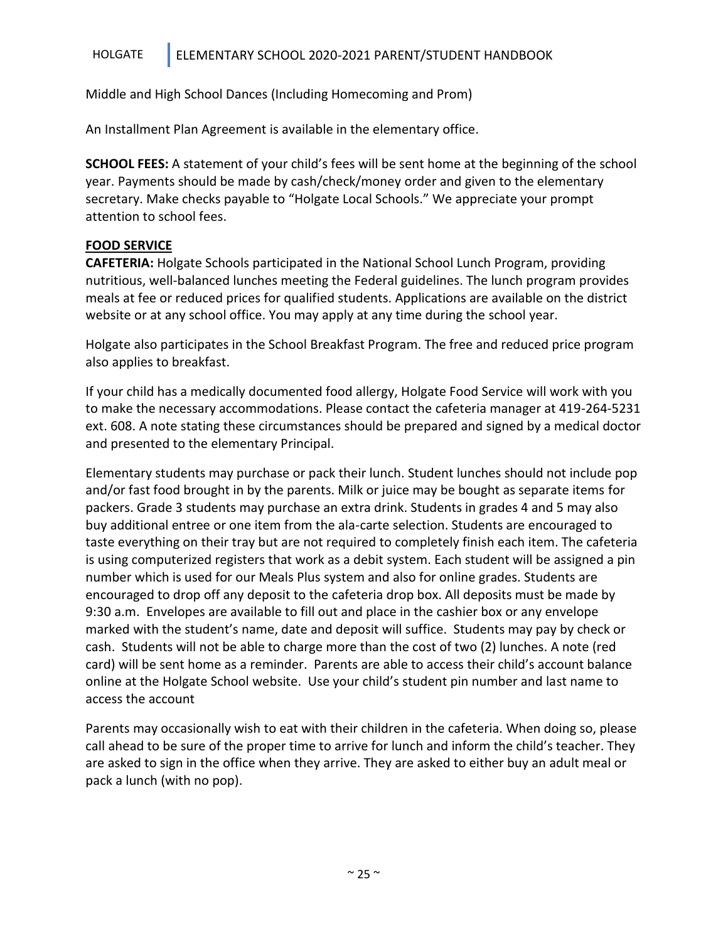Middle and High School Dances (Including Homecoming and Prom)

An Installment Plan Agreement is available in the elementary office.

**SCHOOL FEES:** A statement of your child's fees will be sent home at the beginning of the school year. Payments should be made by cash/check/money order and given to the elementary secretary. Make checks payable to "Holgate Local Schools." We appreciate your prompt attention to school fees.

#### **FOOD SERVICE**

**CAFETERIA:** Holgate Schools participated in the National School Lunch Program, providing nutritious, well-balanced lunches meeting the Federal guidelines. The lunch program provides meals at fee or reduced prices for qualified students. Applications are available on the district website or at any school office. You may apply at any time during the school year.

Holgate also participates in the School Breakfast Program. The free and reduced price program also applies to breakfast.

If your child has a medically documented food allergy, Holgate Food Service will work with you to make the necessary accommodations. Please contact the cafeteria manager at 419-264-5231 ext. 608. A note stating these circumstances should be prepared and signed by a medical doctor and presented to the elementary Principal.

Elementary students may purchase or pack their lunch. Student lunches should not include pop and/or fast food brought in by the parents. Milk or juice may be bought as separate items for packers. Grade 3 students may purchase an extra drink. Students in grades 4 and 5 may also buy additional entree or one item from the ala-carte selection. Students are encouraged to taste everything on their tray but are not required to completely finish each item. The cafeteria is using computerized registers that work as a debit system. Each student will be assigned a pin number which is used for our Meals Plus system and also for online grades. Students are encouraged to drop off any deposit to the cafeteria drop box. All deposits must be made by 9:30 a.m. Envelopes are available to fill out and place in the cashier box or any envelope marked with the student's name, date and deposit will suffice. Students may pay by check or cash. Students will not be able to charge more than the cost of two (2) lunches. A note (red card) will be sent home as a reminder. Parents are able to access their child's account balance online at the Holgate School website. Use your child's student pin number and last name to access the account

Parents may occasionally wish to eat with their children in the cafeteria. When doing so, please call ahead to be sure of the proper time to arrive for lunch and inform the child's teacher. They are asked to sign in the office when they arrive. They are asked to either buy an adult meal or pack a lunch (with no pop).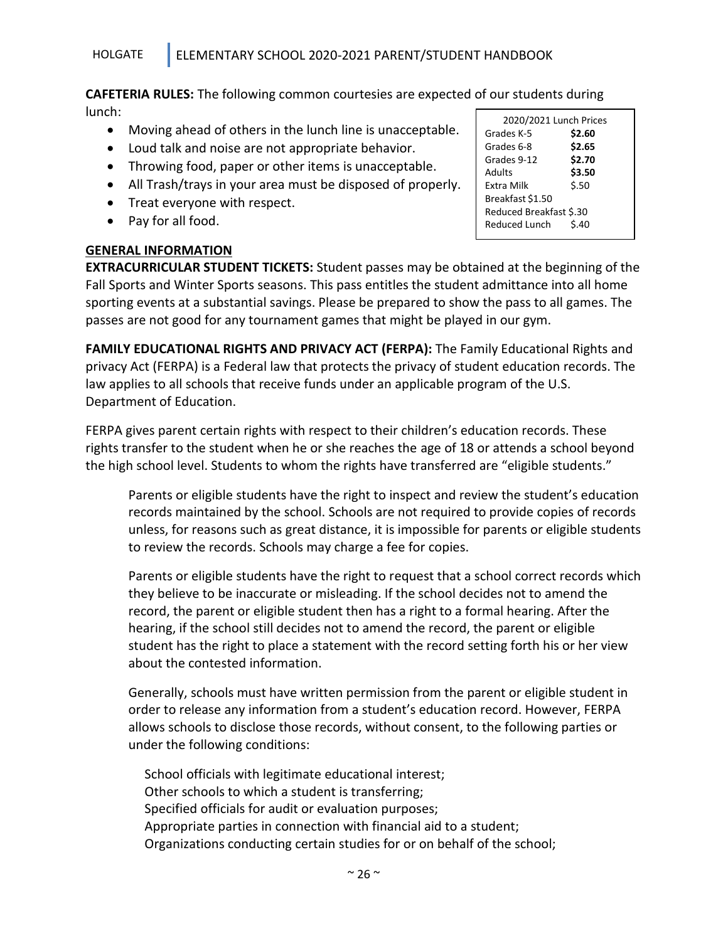**CAFETERIA RULES:** The following common courtesies are expected of our students during lunch:

- Moving ahead of others in the lunch line is unacceptable.
- Loud talk and noise are not appropriate behavior.
- Throwing food, paper or other items is unacceptable.
- All Trash/trays in your area must be disposed of properly.
- Treat everyone with respect.
- Pay for all food.

#### **GENERAL INFORMATION**

**EXTRACURRICULAR STUDENT TICKETS:** Student passes may be obtained at the beginning of the Fall Sports and Winter Sports seasons. This pass entitles the student admittance into all home sporting events at a substantial savings. Please be prepared to show the pass to all games. The passes are not good for any tournament games that might be played in our gym.

**FAMILY EDUCATIONAL RIGHTS AND PRIVACY ACT (FERPA):** The Family Educational Rights and privacy Act (FERPA) is a Federal law that protects the privacy of student education records. The law applies to all schools that receive funds under an applicable program of the U.S. Department of Education.

FERPA gives parent certain rights with respect to their children's education records. These rights transfer to the student when he or she reaches the age of 18 or attends a school beyond the high school level. Students to whom the rights have transferred are "eligible students."

Parents or eligible students have the right to inspect and review the student's education records maintained by the school. Schools are not required to provide copies of records unless, for reasons such as great distance, it is impossible for parents or eligible students to review the records. Schools may charge a fee for copies.

Parents or eligible students have the right to request that a school correct records which they believe to be inaccurate or misleading. If the school decides not to amend the record, the parent or eligible student then has a right to a formal hearing. After the hearing, if the school still decides not to amend the record, the parent or eligible student has the right to place a statement with the record setting forth his or her view about the contested information.

Generally, schools must have written permission from the parent or eligible student in order to release any information from a student's education record. However, FERPA allows schools to disclose those records, without consent, to the following parties or under the following conditions:

School officials with legitimate educational interest; Other schools to which a student is transferring; Specified officials for audit or evaluation purposes; Appropriate parties in connection with financial aid to a student; Organizations conducting certain studies for or on behalf of the school;

| 2020/2021 Lunch Prices  |        |  |
|-------------------------|--------|--|
| Grades K-5              | \$2.60 |  |
| Grades 6-8              | \$2.65 |  |
| Grades 9-12             | \$2.70 |  |
| Adults                  | \$3.50 |  |
| <b>Fxtra Milk</b>       | \$.50  |  |
| Breakfast \$1.50        |        |  |
| Reduced Breakfast \$.30 |        |  |
| <b>Reduced Lunch</b>    | 5.40   |  |
|                         |        |  |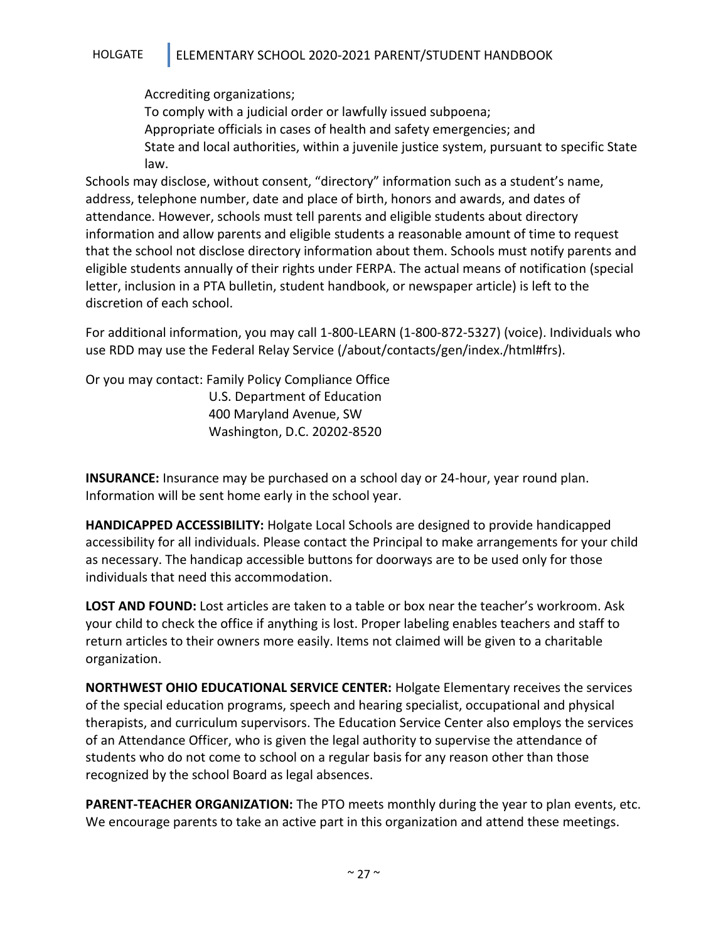Accrediting organizations; To comply with a judicial order or lawfully issued subpoena; Appropriate officials in cases of health and safety emergencies; and State and local authorities, within a juvenile justice system, pursuant to specific State law.

Schools may disclose, without consent, "directory" information such as a student's name, address, telephone number, date and place of birth, honors and awards, and dates of attendance. However, schools must tell parents and eligible students about directory information and allow parents and eligible students a reasonable amount of time to request that the school not disclose directory information about them. Schools must notify parents and eligible students annually of their rights under FERPA. The actual means of notification (special letter, inclusion in a PTA bulletin, student handbook, or newspaper article) is left to the discretion of each school.

For additional information, you may call 1-800-LEARN (1-800-872-5327) (voice). Individuals who use RDD may use the Federal Relay Service (/about/contacts/gen/index./html#frs).

Or you may contact: Family Policy Compliance Office U.S. Department of Education 400 Maryland Avenue, SW Washington, D.C. 20202-8520

**INSURANCE:** Insurance may be purchased on a school day or 24-hour, year round plan. Information will be sent home early in the school year.

**HANDICAPPED ACCESSIBILITY:** Holgate Local Schools are designed to provide handicapped accessibility for all individuals. Please contact the Principal to make arrangements for your child as necessary. The handicap accessible buttons for doorways are to be used only for those individuals that need this accommodation.

**LOST AND FOUND:** Lost articles are taken to a table or box near the teacher's workroom. Ask your child to check the office if anything is lost. Proper labeling enables teachers and staff to return articles to their owners more easily. Items not claimed will be given to a charitable organization.

**NORTHWEST OHIO EDUCATIONAL SERVICE CENTER:** Holgate Elementary receives the services of the special education programs, speech and hearing specialist, occupational and physical therapists, and curriculum supervisors. The Education Service Center also employs the services of an Attendance Officer, who is given the legal authority to supervise the attendance of students who do not come to school on a regular basis for any reason other than those recognized by the school Board as legal absences.

**PARENT-TEACHER ORGANIZATION:** The PTO meets monthly during the year to plan events, etc. We encourage parents to take an active part in this organization and attend these meetings.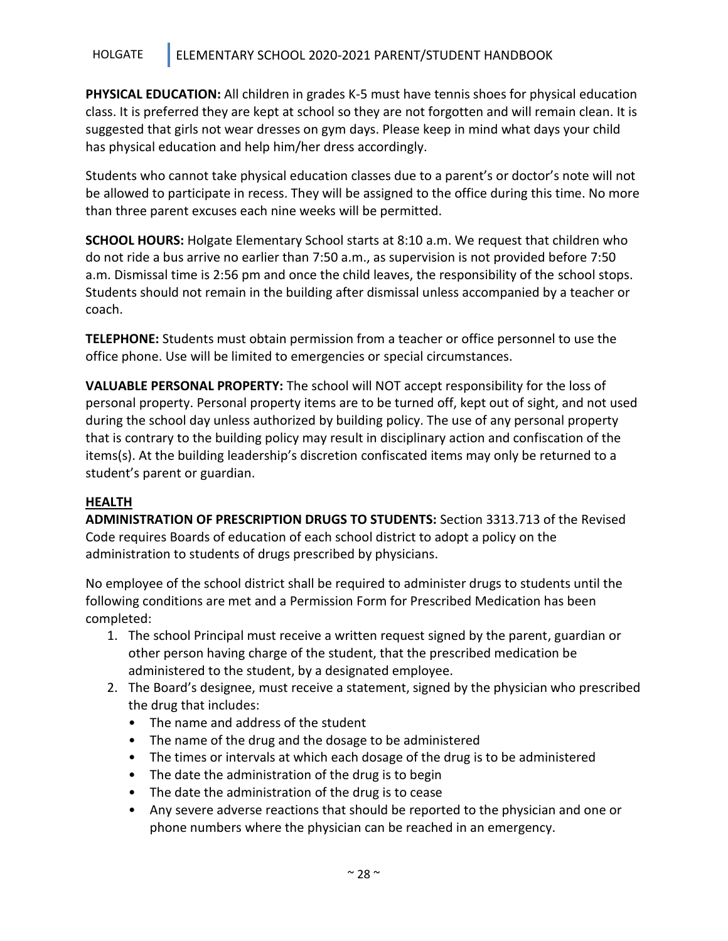**PHYSICAL EDUCATION:** All children in grades K-5 must have tennis shoes for physical education class. It is preferred they are kept at school so they are not forgotten and will remain clean. It is suggested that girls not wear dresses on gym days. Please keep in mind what days your child has physical education and help him/her dress accordingly.

Students who cannot take physical education classes due to a parent's or doctor's note will not be allowed to participate in recess. They will be assigned to the office during this time. No more than three parent excuses each nine weeks will be permitted.

**SCHOOL HOURS:** Holgate Elementary School starts at 8:10 a.m. We request that children who do not ride a bus arrive no earlier than 7:50 a.m., as supervision is not provided before 7:50 a.m. Dismissal time is 2:56 pm and once the child leaves, the responsibility of the school stops. Students should not remain in the building after dismissal unless accompanied by a teacher or coach.

**TELEPHONE:** Students must obtain permission from a teacher or office personnel to use the office phone. Use will be limited to emergencies or special circumstances.

**VALUABLE PERSONAL PROPERTY:** The school will NOT accept responsibility for the loss of personal property. Personal property items are to be turned off, kept out of sight, and not used during the school day unless authorized by building policy. The use of any personal property that is contrary to the building policy may result in disciplinary action and confiscation of the items(s). At the building leadership's discretion confiscated items may only be returned to a student's parent or guardian.

#### **HEALTH**

**ADMINISTRATION OF PRESCRIPTION DRUGS TO STUDENTS:** Section 3313.713 of the Revised Code requires Boards of education of each school district to adopt a policy on the administration to students of drugs prescribed by physicians.

No employee of the school district shall be required to administer drugs to students until the following conditions are met and a Permission Form for Prescribed Medication has been completed:

- 1. The school Principal must receive a written request signed by the parent, guardian or other person having charge of the student, that the prescribed medication be administered to the student, by a designated employee.
- 2. The Board's designee, must receive a statement, signed by the physician who prescribed the drug that includes:
	- The name and address of the student
	- The name of the drug and the dosage to be administered
	- The times or intervals at which each dosage of the drug is to be administered
	- The date the administration of the drug is to begin
	- The date the administration of the drug is to cease
	- Any severe adverse reactions that should be reported to the physician and one or phone numbers where the physician can be reached in an emergency.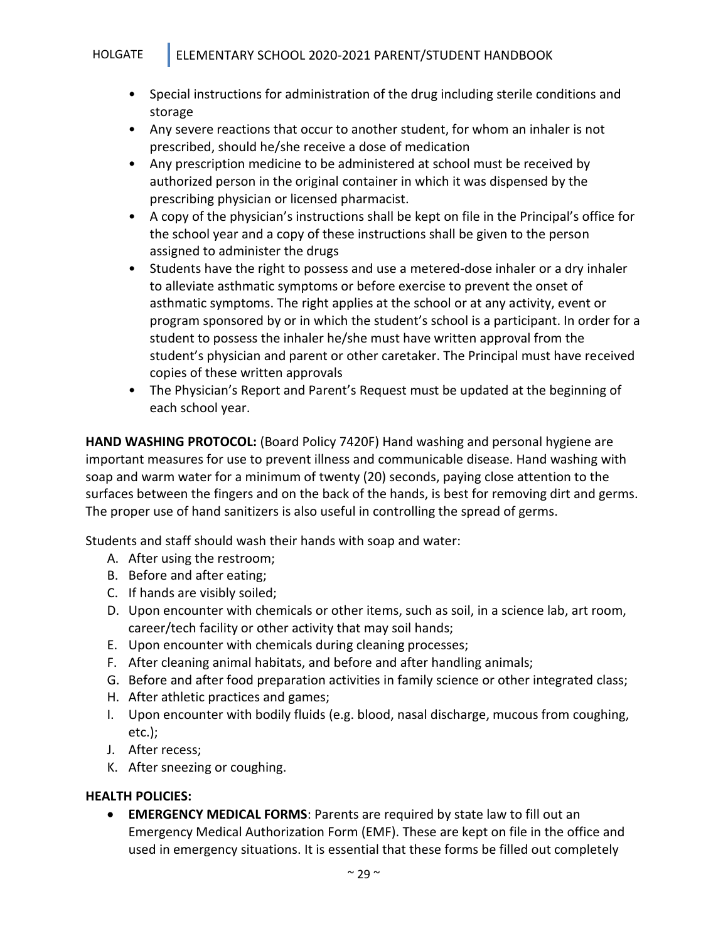- Special instructions for administration of the drug including sterile conditions and storage
- Any severe reactions that occur to another student, for whom an inhaler is not prescribed, should he/she receive a dose of medication
- Any prescription medicine to be administered at school must be received by authorized person in the original container in which it was dispensed by the prescribing physician or licensed pharmacist.
- A copy of the physician's instructions shall be kept on file in the Principal's office for the school year and a copy of these instructions shall be given to the person assigned to administer the drugs
- Students have the right to possess and use a metered-dose inhaler or a dry inhaler to alleviate asthmatic symptoms or before exercise to prevent the onset of asthmatic symptoms. The right applies at the school or at any activity, event or program sponsored by or in which the student's school is a participant. In order for a student to possess the inhaler he/she must have written approval from the student's physician and parent or other caretaker. The Principal must have received copies of these written approvals
- The Physician's Report and Parent's Request must be updated at the beginning of each school year.

**HAND WASHING PROTOCOL:** (Board Policy 7420F) Hand washing and personal hygiene are important measures for use to prevent illness and communicable disease. Hand washing with soap and warm water for a minimum of twenty (20) seconds, paying close attention to the surfaces between the fingers and on the back of the hands, is best for removing dirt and germs. The proper use of hand sanitizers is also useful in controlling the spread of germs.

Students and staff should wash their hands with soap and water:

- A. After using the restroom;
- B. Before and after eating;
- C. If hands are visibly soiled;
- D. Upon encounter with chemicals or other items, such as soil, in a science lab, art room, career/tech facility or other activity that may soil hands;
- E. Upon encounter with chemicals during cleaning processes;
- F. After cleaning animal habitats, and before and after handling animals;
- G. Before and after food preparation activities in family science or other integrated class;
- H. After athletic practices and games;
- I. Upon encounter with bodily fluids (e.g. blood, nasal discharge, mucous from coughing, etc.);
- J. After recess;
- K. After sneezing or coughing.

#### **HEALTH POLICIES:**

• **EMERGENCY MEDICAL FORMS**: Parents are required by state law to fill out an Emergency Medical Authorization Form (EMF). These are kept on file in the office and used in emergency situations. It is essential that these forms be filled out completely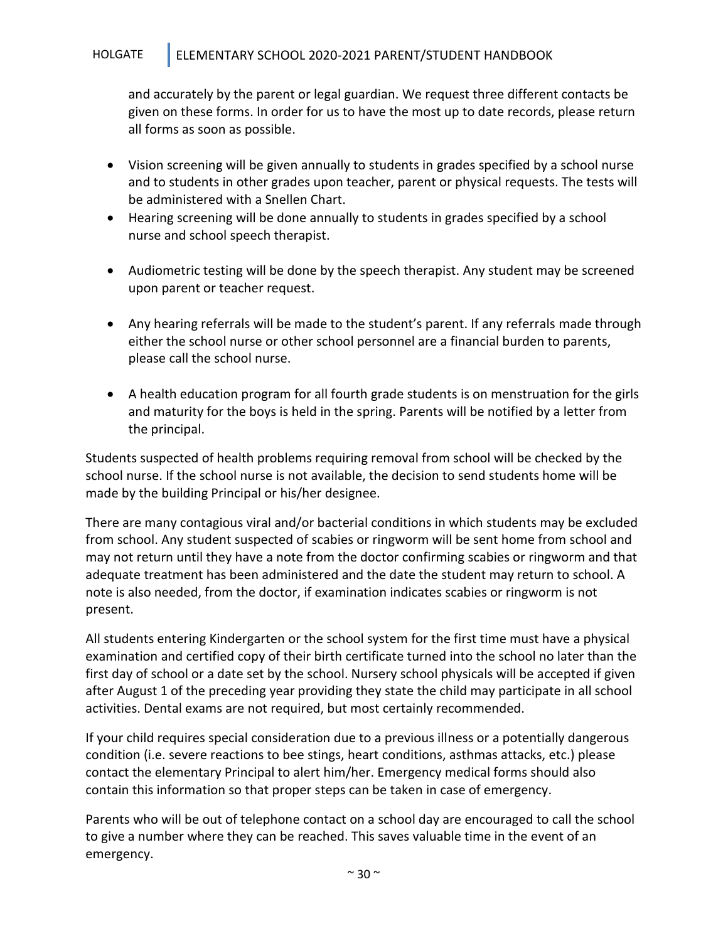and accurately by the parent or legal guardian. We request three different contacts be given on these forms. In order for us to have the most up to date records, please return all forms as soon as possible.

- Vision screening will be given annually to students in grades specified by a school nurse and to students in other grades upon teacher, parent or physical requests. The tests will be administered with a Snellen Chart.
- Hearing screening will be done annually to students in grades specified by a school nurse and school speech therapist.
- Audiometric testing will be done by the speech therapist. Any student may be screened upon parent or teacher request.
- Any hearing referrals will be made to the student's parent. If any referrals made through either the school nurse or other school personnel are a financial burden to parents, please call the school nurse.
- A health education program for all fourth grade students is on menstruation for the girls and maturity for the boys is held in the spring. Parents will be notified by a letter from the principal.

Students suspected of health problems requiring removal from school will be checked by the school nurse. If the school nurse is not available, the decision to send students home will be made by the building Principal or his/her designee.

There are many contagious viral and/or bacterial conditions in which students may be excluded from school. Any student suspected of scabies or ringworm will be sent home from school and may not return until they have a note from the doctor confirming scabies or ringworm and that adequate treatment has been administered and the date the student may return to school. A note is also needed, from the doctor, if examination indicates scabies or ringworm is not present.

All students entering Kindergarten or the school system for the first time must have a physical examination and certified copy of their birth certificate turned into the school no later than the first day of school or a date set by the school. Nursery school physicals will be accepted if given after August 1 of the preceding year providing they state the child may participate in all school activities. Dental exams are not required, but most certainly recommended.

If your child requires special consideration due to a previous illness or a potentially dangerous condition (i.e. severe reactions to bee stings, heart conditions, asthmas attacks, etc.) please contact the elementary Principal to alert him/her. Emergency medical forms should also contain this information so that proper steps can be taken in case of emergency.

Parents who will be out of telephone contact on a school day are encouraged to call the school to give a number where they can be reached. This saves valuable time in the event of an emergency.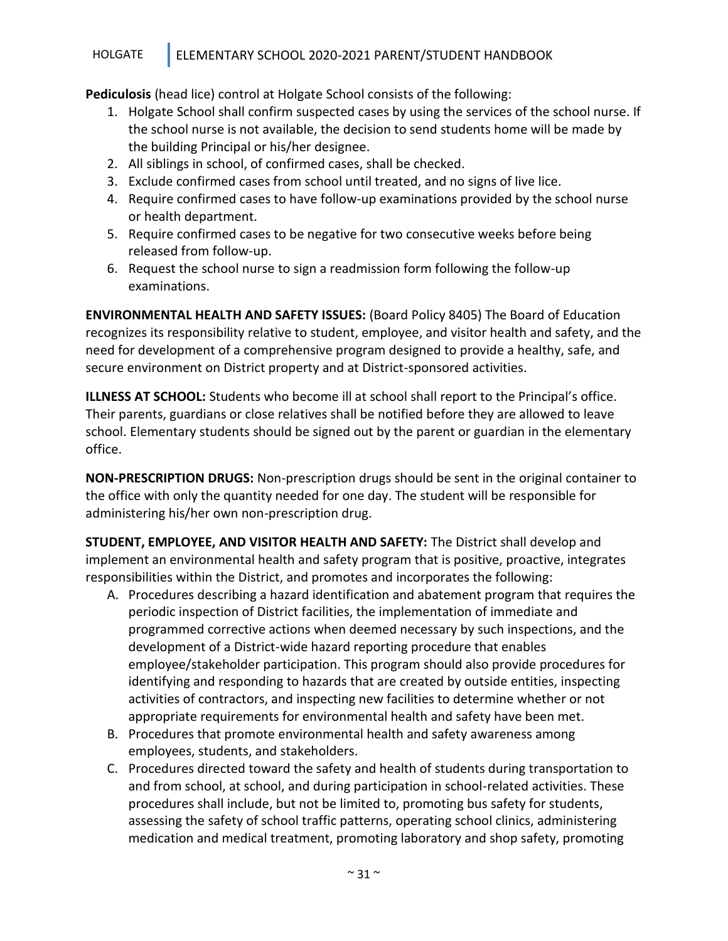**Pediculosis** (head lice) control at Holgate School consists of the following:

- 1. Holgate School shall confirm suspected cases by using the services of the school nurse. If the school nurse is not available, the decision to send students home will be made by the building Principal or his/her designee.
- 2. All siblings in school, of confirmed cases, shall be checked.
- 3. Exclude confirmed cases from school until treated, and no signs of live lice.
- 4. Require confirmed cases to have follow-up examinations provided by the school nurse or health department.
- 5. Require confirmed cases to be negative for two consecutive weeks before being released from follow-up.
- 6. Request the school nurse to sign a readmission form following the follow-up examinations.

**ENVIRONMENTAL HEALTH AND SAFETY ISSUES:** (Board Policy 8405) The Board of Education recognizes its responsibility relative to student, employee, and visitor health and safety, and the need for development of a comprehensive program designed to provide a healthy, safe, and secure environment on District property and at District-sponsored activities.

**ILLNESS AT SCHOOL:** Students who become ill at school shall report to the Principal's office. Their parents, guardians or close relatives shall be notified before they are allowed to leave school. Elementary students should be signed out by the parent or guardian in the elementary office.

**NON-PRESCRIPTION DRUGS:** Non-prescription drugs should be sent in the original container to the office with only the quantity needed for one day. The student will be responsible for administering his/her own non-prescription drug.

**STUDENT, EMPLOYEE, AND VISITOR HEALTH AND SAFETY:** The District shall develop and implement an environmental health and safety program that is positive, proactive, integrates responsibilities within the District, and promotes and incorporates the following:

- A. Procedures describing a hazard identification and abatement program that requires the periodic inspection of District facilities, the implementation of immediate and programmed corrective actions when deemed necessary by such inspections, and the development of a District-wide hazard reporting procedure that enables employee/stakeholder participation. This program should also provide procedures for identifying and responding to hazards that are created by outside entities, inspecting activities of contractors, and inspecting new facilities to determine whether or not appropriate requirements for environmental health and safety have been met.
- B. Procedures that promote environmental health and safety awareness among employees, students, and stakeholders.
- C. Procedures directed toward the safety and health of students during transportation to and from school, at school, and during participation in school-related activities. These procedures shall include, but not be limited to, promoting bus safety for students, assessing the safety of school traffic patterns, operating school clinics, administering medication and medical treatment, promoting laboratory and shop safety, promoting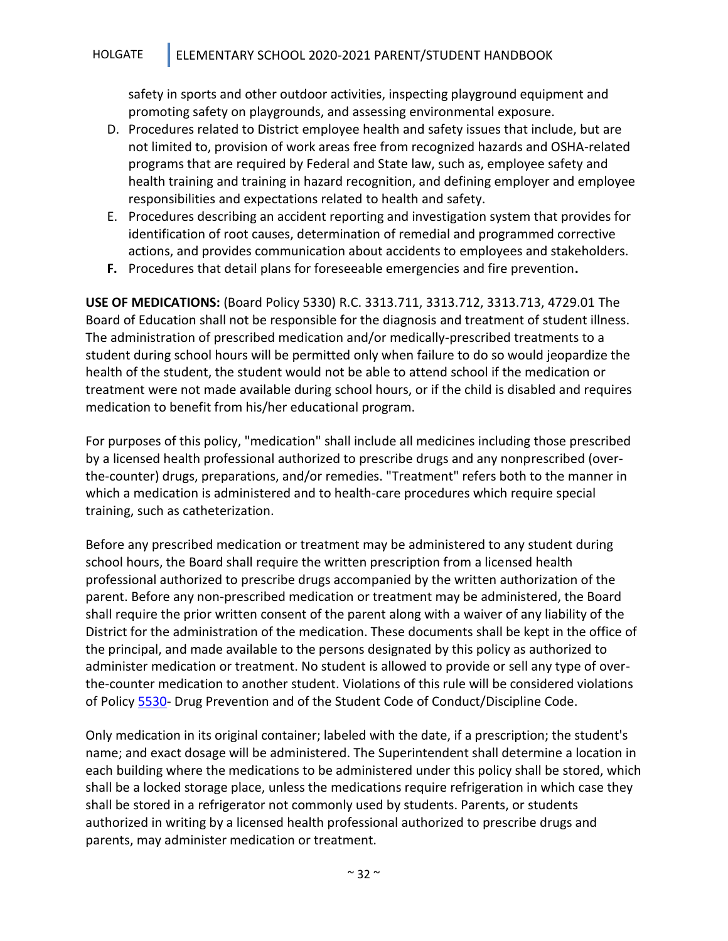safety in sports and other outdoor activities, inspecting playground equipment and promoting safety on playgrounds, and assessing environmental exposure.

- D. Procedures related to District employee health and safety issues that include, but are not limited to, provision of work areas free from recognized hazards and OSHA-related programs that are required by Federal and State law, such as, employee safety and health training and training in hazard recognition, and defining employer and employee responsibilities and expectations related to health and safety.
- E. Procedures describing an accident reporting and investigation system that provides for identification of root causes, determination of remedial and programmed corrective actions, and provides communication about accidents to employees and stakeholders.
- **F.** Procedures that detail plans for foreseeable emergencies and fire prevention**.**

**USE OF MEDICATIONS:** (Board Policy 5330) R.C. 3313.711, 3313.712, 3313.713, 4729.01 The Board of Education shall not be responsible for the diagnosis and treatment of student illness. The administration of prescribed medication and/or medically-prescribed treatments to a student during school hours will be permitted only when failure to do so would jeopardize the health of the student, the student would not be able to attend school if the medication or treatment were not made available during school hours, or if the child is disabled and requires medication to benefit from his/her educational program.

For purposes of this policy, "medication" shall include all medicines including those prescribed by a licensed health professional authorized to prescribe drugs and any nonprescribed (overthe-counter) drugs, preparations, and/or remedies. "Treatment" refers both to the manner in which a medication is administered and to health-care procedures which require special training, such as catheterization.

Before any prescribed medication or treatment may be administered to any student during school hours, the Board shall require the written prescription from a licensed health professional authorized to prescribe drugs accompanied by the written authorization of the parent. Before any non-prescribed medication or treatment may be administered, the Board shall require the prior written consent of the parent along with a waiver of any liability of the District for the administration of the medication. These documents shall be kept in the office of the principal, and made available to the persons designated by this policy as authorized to administer medication or treatment. No student is allowed to provide or sell any type of overthe-counter medication to another student. Violations of this rule will be considered violations of Policy [5530-](http://neola.com/holgate-oh/search/policies/po5530.htm) Drug Prevention and of the Student Code of Conduct/Discipline Code.

Only medication in its original container; labeled with the date, if a prescription; the student's name; and exact dosage will be administered. The Superintendent shall determine a location in each building where the medications to be administered under this policy shall be stored, which shall be a locked storage place, unless the medications require refrigeration in which case they shall be stored in a refrigerator not commonly used by students. Parents, or students authorized in writing by a licensed health professional authorized to prescribe drugs and parents, may administer medication or treatment.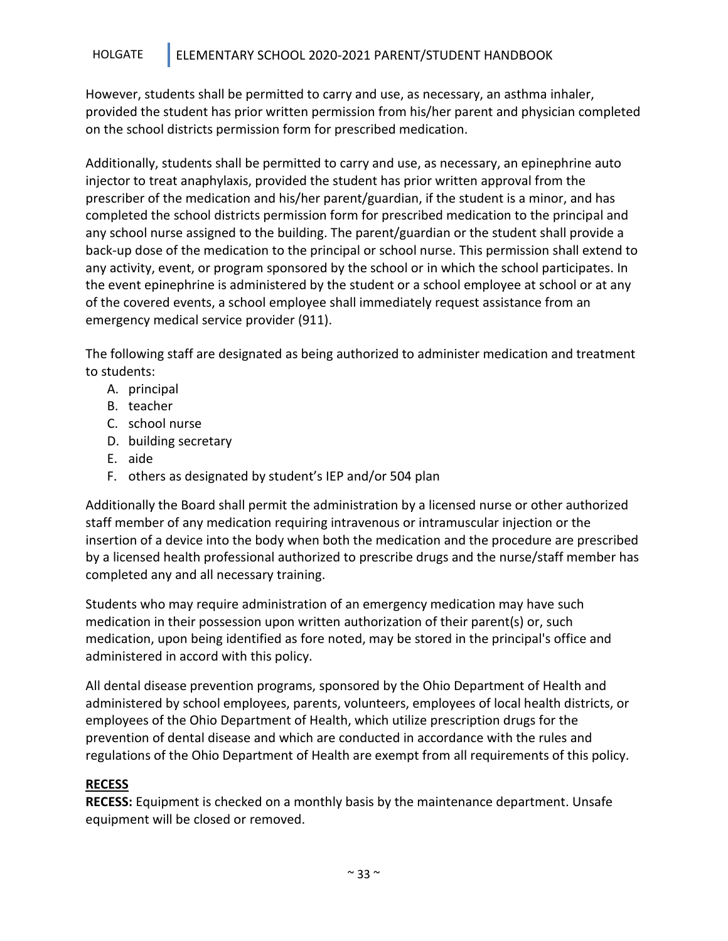However, students shall be permitted to carry and use, as necessary, an asthma inhaler, provided the student has prior written permission from his/her parent and physician completed on the school districts permission form for prescribed medication.

Additionally, students shall be permitted to carry and use, as necessary, an epinephrine auto injector to treat anaphylaxis, provided the student has prior written approval from the prescriber of the medication and his/her parent/guardian, if the student is a minor, and has completed the school districts permission form for prescribed medication to the principal and any school nurse assigned to the building. The parent/guardian or the student shall provide a back-up dose of the medication to the principal or school nurse. This permission shall extend to any activity, event, or program sponsored by the school or in which the school participates. In the event epinephrine is administered by the student or a school employee at school or at any of the covered events, a school employee shall immediately request assistance from an emergency medical service provider (911).

The following staff are designated as being authorized to administer medication and treatment to students:

- A. principal
- B. teacher
- C. school nurse
- D. building secretary
- E. aide
- F. others as designated by student's IEP and/or 504 plan

Additionally the Board shall permit the administration by a licensed nurse or other authorized staff member of any medication requiring intravenous or intramuscular injection or the insertion of a device into the body when both the medication and the procedure are prescribed by a licensed health professional authorized to prescribe drugs and the nurse/staff member has completed any and all necessary training.

Students who may require administration of an emergency medication may have such medication in their possession upon written authorization of their parent(s) or, such medication, upon being identified as fore noted, may be stored in the principal's office and administered in accord with this policy.

All dental disease prevention programs, sponsored by the Ohio Department of Health and administered by school employees, parents, volunteers, employees of local health districts, or employees of the Ohio Department of Health, which utilize prescription drugs for the prevention of dental disease and which are conducted in accordance with the rules and regulations of the Ohio Department of Health are exempt from all requirements of this policy.

#### **RECESS**

**RECESS:** Equipment is checked on a monthly basis by the maintenance department. Unsafe equipment will be closed or removed.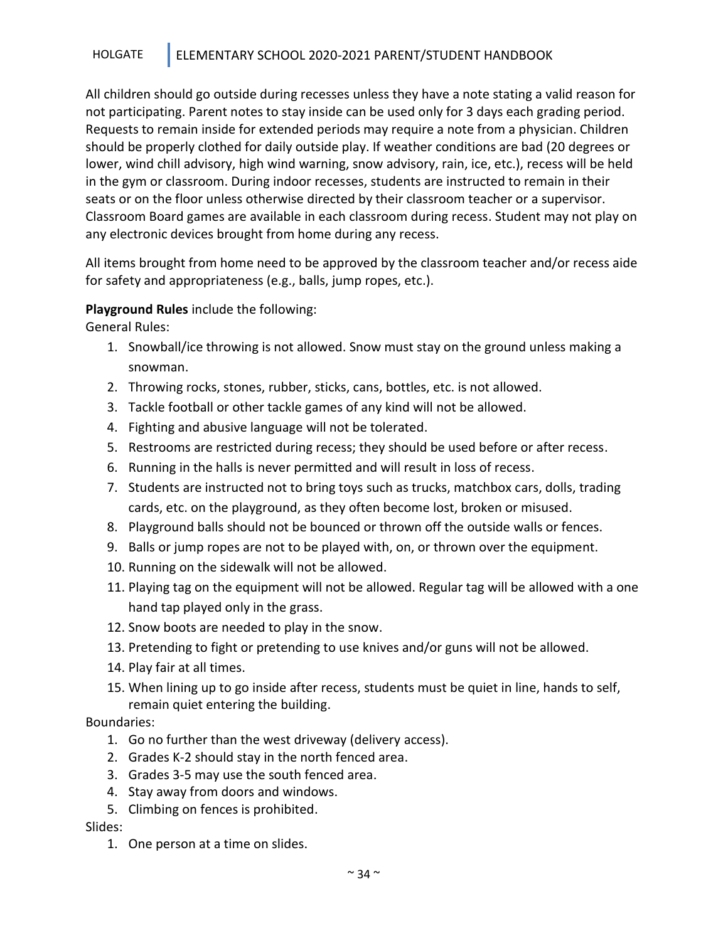All children should go outside during recesses unless they have a note stating a valid reason for not participating. Parent notes to stay inside can be used only for 3 days each grading period. Requests to remain inside for extended periods may require a note from a physician. Children should be properly clothed for daily outside play. If weather conditions are bad (20 degrees or lower, wind chill advisory, high wind warning, snow advisory, rain, ice, etc.), recess will be held in the gym or classroom. During indoor recesses, students are instructed to remain in their seats or on the floor unless otherwise directed by their classroom teacher or a supervisor. Classroom Board games are available in each classroom during recess. Student may not play on any electronic devices brought from home during any recess.

All items brought from home need to be approved by the classroom teacher and/or recess aide for safety and appropriateness (e.g., balls, jump ropes, etc.).

#### **Playground Rules** include the following:

General Rules:

- 1. Snowball/ice throwing is not allowed. Snow must stay on the ground unless making a snowman.
- 2. Throwing rocks, stones, rubber, sticks, cans, bottles, etc. is not allowed.
- 3. Tackle football or other tackle games of any kind will not be allowed.
- 4. Fighting and abusive language will not be tolerated.
- 5. Restrooms are restricted during recess; they should be used before or after recess.
- 6. Running in the halls is never permitted and will result in loss of recess.
- 7. Students are instructed not to bring toys such as trucks, matchbox cars, dolls, trading cards, etc. on the playground, as they often become lost, broken or misused.
- 8. Playground balls should not be bounced or thrown off the outside walls or fences.
- 9. Balls or jump ropes are not to be played with, on, or thrown over the equipment.
- 10. Running on the sidewalk will not be allowed.
- 11. Playing tag on the equipment will not be allowed. Regular tag will be allowed with a one hand tap played only in the grass.
- 12. Snow boots are needed to play in the snow.
- 13. Pretending to fight or pretending to use knives and/or guns will not be allowed.
- 14. Play fair at all times.
- 15. When lining up to go inside after recess, students must be quiet in line, hands to self, remain quiet entering the building.

Boundaries:

- 1. Go no further than the west driveway (delivery access).
- 2. Grades K-2 should stay in the north fenced area.
- 3. Grades 3-5 may use the south fenced area.
- 4. Stay away from doors and windows.
- 5. Climbing on fences is prohibited.

Slides:

1. One person at a time on slides.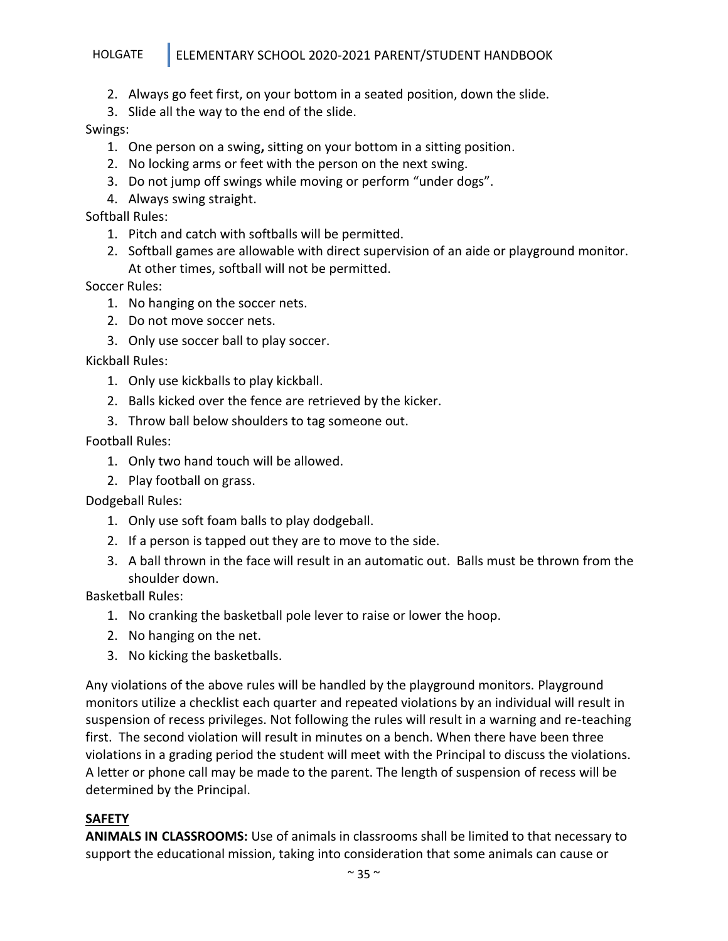- 2. Always go feet first, on your bottom in a seated position, down the slide.
- 3. Slide all the way to the end of the slide.

Swings:

- 1. One person on a swing**,** sitting on your bottom in a sitting position.
- 2. No locking arms or feet with the person on the next swing.
- 3. Do not jump off swings while moving or perform "under dogs".
- 4. Always swing straight.

Softball Rules:

- 1. Pitch and catch with softballs will be permitted.
- 2. Softball games are allowable with direct supervision of an aide or playground monitor. At other times, softball will not be permitted.

Soccer Rules:

- 1. No hanging on the soccer nets.
- 2. Do not move soccer nets.
- 3. Only use soccer ball to play soccer.

Kickball Rules:

- 1. Only use kickballs to play kickball.
- 2. Balls kicked over the fence are retrieved by the kicker.
- 3. Throw ball below shoulders to tag someone out.

Football Rules:

- 1. Only two hand touch will be allowed.
- 2. Play football on grass.

Dodgeball Rules:

- 1. Only use soft foam balls to play dodgeball.
- 2. If a person is tapped out they are to move to the side.
- 3. A ball thrown in the face will result in an automatic out. Balls must be thrown from the shoulder down.

Basketball Rules:

- 1. No cranking the basketball pole lever to raise or lower the hoop.
- 2. No hanging on the net.
- 3. No kicking the basketballs.

Any violations of the above rules will be handled by the playground monitors. Playground monitors utilize a checklist each quarter and repeated violations by an individual will result in suspension of recess privileges. Not following the rules will result in a warning and re-teaching first. The second violation will result in minutes on a bench. When there have been three violations in a grading period the student will meet with the Principal to discuss the violations. A letter or phone call may be made to the parent. The length of suspension of recess will be determined by the Principal.

#### **SAFETY**

**ANIMALS IN CLASSROOMS:** Use of animals in classrooms shall be limited to that necessary to support the educational mission, taking into consideration that some animals can cause or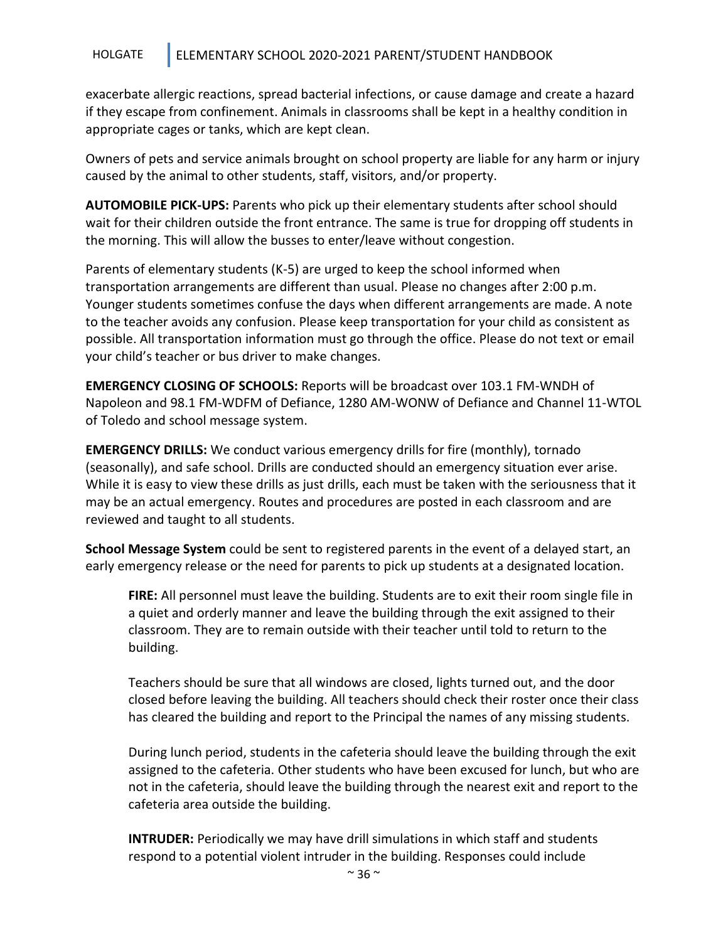exacerbate allergic reactions, spread bacterial infections, or cause damage and create a hazard if they escape from confinement. Animals in classrooms shall be kept in a healthy condition in appropriate cages or tanks, which are kept clean.

Owners of pets and service animals brought on school property are liable for any harm or injury caused by the animal to other students, staff, visitors, and/or property.

**AUTOMOBILE PICK-UPS:** Parents who pick up their elementary students after school should wait for their children outside the front entrance. The same is true for dropping off students in the morning. This will allow the busses to enter/leave without congestion.

Parents of elementary students (K-5) are urged to keep the school informed when transportation arrangements are different than usual. Please no changes after 2:00 p.m. Younger students sometimes confuse the days when different arrangements are made. A note to the teacher avoids any confusion. Please keep transportation for your child as consistent as possible. All transportation information must go through the office. Please do not text or email your child's teacher or bus driver to make changes.

**EMERGENCY CLOSING OF SCHOOLS:** Reports will be broadcast over 103.1 FM-WNDH of Napoleon and 98.1 FM-WDFM of Defiance, 1280 AM-WONW of Defiance and Channel 11-WTOL of Toledo and school message system.

**EMERGENCY DRILLS:** We conduct various emergency drills for fire (monthly), tornado (seasonally), and safe school. Drills are conducted should an emergency situation ever arise. While it is easy to view these drills as just drills, each must be taken with the seriousness that it may be an actual emergency. Routes and procedures are posted in each classroom and are reviewed and taught to all students.

**School Message System** could be sent to registered parents in the event of a delayed start, an early emergency release or the need for parents to pick up students at a designated location.

**FIRE:** All personnel must leave the building. Students are to exit their room single file in a quiet and orderly manner and leave the building through the exit assigned to their classroom. They are to remain outside with their teacher until told to return to the building.

Teachers should be sure that all windows are closed, lights turned out, and the door closed before leaving the building. All teachers should check their roster once their class has cleared the building and report to the Principal the names of any missing students.

During lunch period, students in the cafeteria should leave the building through the exit assigned to the cafeteria. Other students who have been excused for lunch, but who are not in the cafeteria, should leave the building through the nearest exit and report to the cafeteria area outside the building.

**INTRUDER:** Periodically we may have drill simulations in which staff and students respond to a potential violent intruder in the building. Responses could include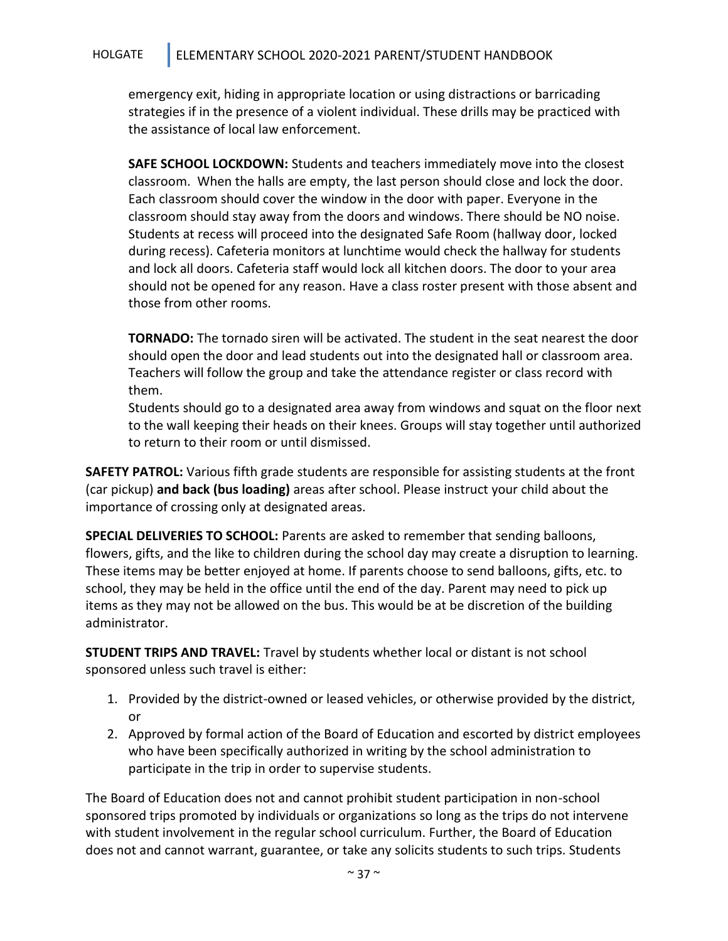emergency exit, hiding in appropriate location or using distractions or barricading strategies if in the presence of a violent individual. These drills may be practiced with the assistance of local law enforcement.

**SAFE SCHOOL LOCKDOWN:** Students and teachers immediately move into the closest classroom. When the halls are empty, the last person should close and lock the door. Each classroom should cover the window in the door with paper. Everyone in the classroom should stay away from the doors and windows. There should be NO noise. Students at recess will proceed into the designated Safe Room (hallway door, locked during recess). Cafeteria monitors at lunchtime would check the hallway for students and lock all doors. Cafeteria staff would lock all kitchen doors. The door to your area should not be opened for any reason. Have a class roster present with those absent and those from other rooms.

**TORNADO:** The tornado siren will be activated. The student in the seat nearest the door should open the door and lead students out into the designated hall or classroom area. Teachers will follow the group and take the attendance register or class record with them.

Students should go to a designated area away from windows and squat on the floor next to the wall keeping their heads on their knees. Groups will stay together until authorized to return to their room or until dismissed.

**SAFETY PATROL:** Various fifth grade students are responsible for assisting students at the front (car pickup) **and back (bus loading)** areas after school. Please instruct your child about the importance of crossing only at designated areas.

**SPECIAL DELIVERIES TO SCHOOL:** Parents are asked to remember that sending balloons, flowers, gifts, and the like to children during the school day may create a disruption to learning. These items may be better enjoyed at home. If parents choose to send balloons, gifts, etc. to school, they may be held in the office until the end of the day. Parent may need to pick up items as they may not be allowed on the bus. This would be at be discretion of the building administrator.

**STUDENT TRIPS AND TRAVEL:** Travel by students whether local or distant is not school sponsored unless such travel is either:

- 1. Provided by the district-owned or leased vehicles, or otherwise provided by the district, or
- 2. Approved by formal action of the Board of Education and escorted by district employees who have been specifically authorized in writing by the school administration to participate in the trip in order to supervise students.

The Board of Education does not and cannot prohibit student participation in non-school sponsored trips promoted by individuals or organizations so long as the trips do not intervene with student involvement in the regular school curriculum. Further, the Board of Education does not and cannot warrant, guarantee, or take any solicits students to such trips. Students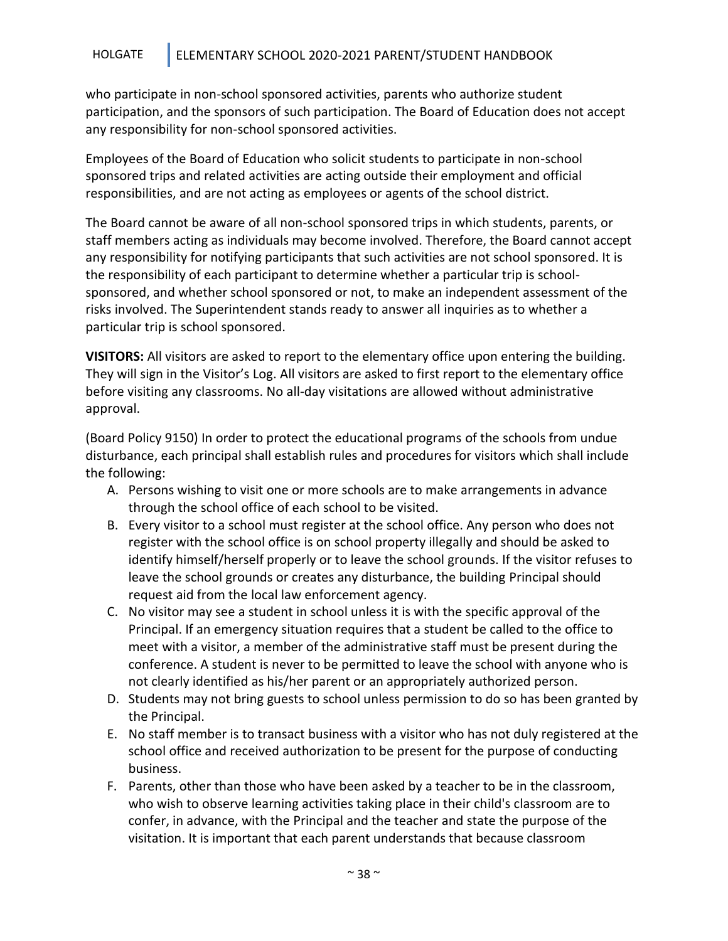who participate in non-school sponsored activities, parents who authorize student participation, and the sponsors of such participation. The Board of Education does not accept any responsibility for non-school sponsored activities.

Employees of the Board of Education who solicit students to participate in non-school sponsored trips and related activities are acting outside their employment and official responsibilities, and are not acting as employees or agents of the school district.

The Board cannot be aware of all non-school sponsored trips in which students, parents, or staff members acting as individuals may become involved. Therefore, the Board cannot accept any responsibility for notifying participants that such activities are not school sponsored. It is the responsibility of each participant to determine whether a particular trip is schoolsponsored, and whether school sponsored or not, to make an independent assessment of the risks involved. The Superintendent stands ready to answer all inquiries as to whether a particular trip is school sponsored.

**VISITORS:** All visitors are asked to report to the elementary office upon entering the building. They will sign in the Visitor's Log. All visitors are asked to first report to the elementary office before visiting any classrooms. No all-day visitations are allowed without administrative approval.

(Board Policy 9150) In order to protect the educational programs of the schools from undue disturbance, each principal shall establish rules and procedures for visitors which shall include the following:

- A. Persons wishing to visit one or more schools are to make arrangements in advance through the school office of each school to be visited.
- B. Every visitor to a school must register at the school office. Any person who does not register with the school office is on school property illegally and should be asked to identify himself/herself properly or to leave the school grounds. If the visitor refuses to leave the school grounds or creates any disturbance, the building Principal should request aid from the local law enforcement agency.
- C. No visitor may see a student in school unless it is with the specific approval of the Principal. If an emergency situation requires that a student be called to the office to meet with a visitor, a member of the administrative staff must be present during the conference. A student is never to be permitted to leave the school with anyone who is not clearly identified as his/her parent or an appropriately authorized person.
- D. Students may not bring guests to school unless permission to do so has been granted by the Principal.
- E. No staff member is to transact business with a visitor who has not duly registered at the school office and received authorization to be present for the purpose of conducting business.
- F. Parents, other than those who have been asked by a teacher to be in the classroom, who wish to observe learning activities taking place in their child's classroom are to confer, in advance, with the Principal and the teacher and state the purpose of the visitation. It is important that each parent understands that because classroom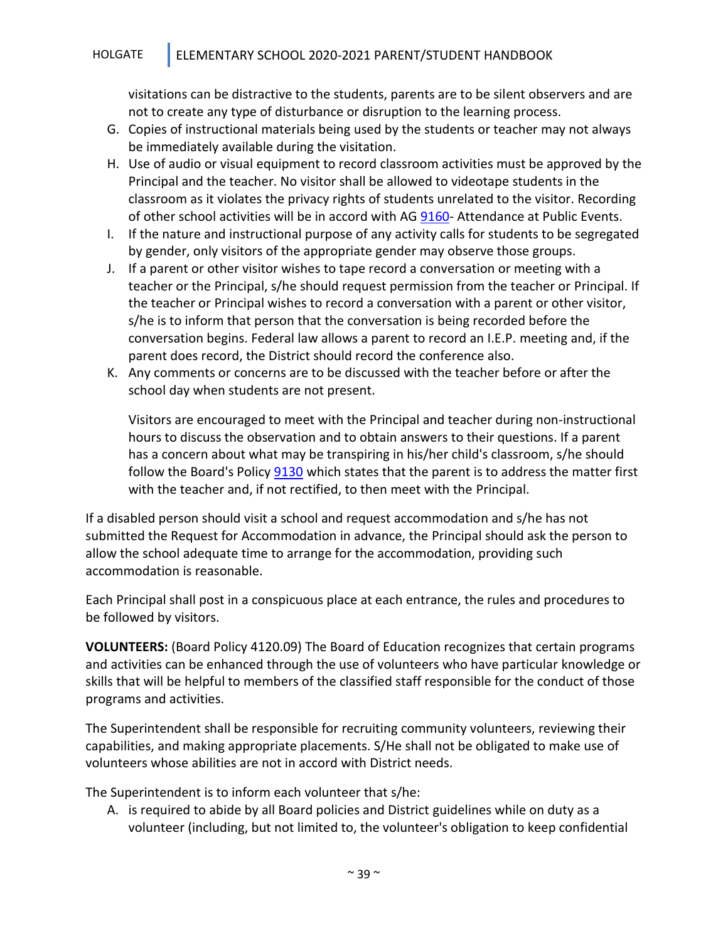visitations can be distractive to the students, parents are to be silent observers and are not to create any type of disturbance or disruption to the learning process.

- G. Copies of instructional materials being used by the students or teacher may not always be immediately available during the visitation.
- H. Use of audio or visual equipment to record classroom activities must be approved by the Principal and the teacher. No visitor shall be allowed to videotape students in the classroom as it violates the privacy rights of students unrelated to the visitor. Recording of other school activities will be in accord with AG [9160-](http://neola.com/holgate-oh/search/ag/ag9160.htm) Attendance at Public Events.
- I. If the nature and instructional purpose of any activity calls for students to be segregated by gender, only visitors of the appropriate gender may observe those groups.
- J. If a parent or other visitor wishes to tape record a conversation or meeting with a teacher or the Principal, s/he should request permission from the teacher or Principal. If the teacher or Principal wishes to record a conversation with a parent or other visitor, s/he is to inform that person that the conversation is being recorded before the conversation begins. Federal law allows a parent to record an I.E.P. meeting and, if the parent does record, the District should record the conference also.
- K. Any comments or concerns are to be discussed with the teacher before or after the school day when students are not present.

Visitors are encouraged to meet with the Principal and teacher during non-instructional hours to discuss the observation and to obtain answers to their questions. If a parent has a concern about what may be transpiring in his/her child's classroom, s/he should follow the Board's Policy [9130](http://neola.com/holgate-oh/search/policies/po9130.htm) which states that the parent is to address the matter first with the teacher and, if not rectified, to then meet with the Principal.

If a disabled person should visit a school and request accommodation and s/he has not submitted the Request for Accommodation in advance, the Principal should ask the person to allow the school adequate time to arrange for the accommodation, providing such accommodation is reasonable.

Each Principal shall post in a conspicuous place at each entrance, the rules and procedures to be followed by visitors.

**VOLUNTEERS:** (Board Policy 4120.09) The Board of Education recognizes that certain programs and activities can be enhanced through the use of volunteers who have particular knowledge or skills that will be helpful to members of the classified staff responsible for the conduct of those programs and activities.

The Superintendent shall be responsible for recruiting community volunteers, reviewing their capabilities, and making appropriate placements. S/He shall not be obligated to make use of volunteers whose abilities are not in accord with District needs.

The Superintendent is to inform each volunteer that s/he:

A. is required to abide by all Board policies and District guidelines while on duty as a volunteer (including, but not limited to, the volunteer's obligation to keep confidential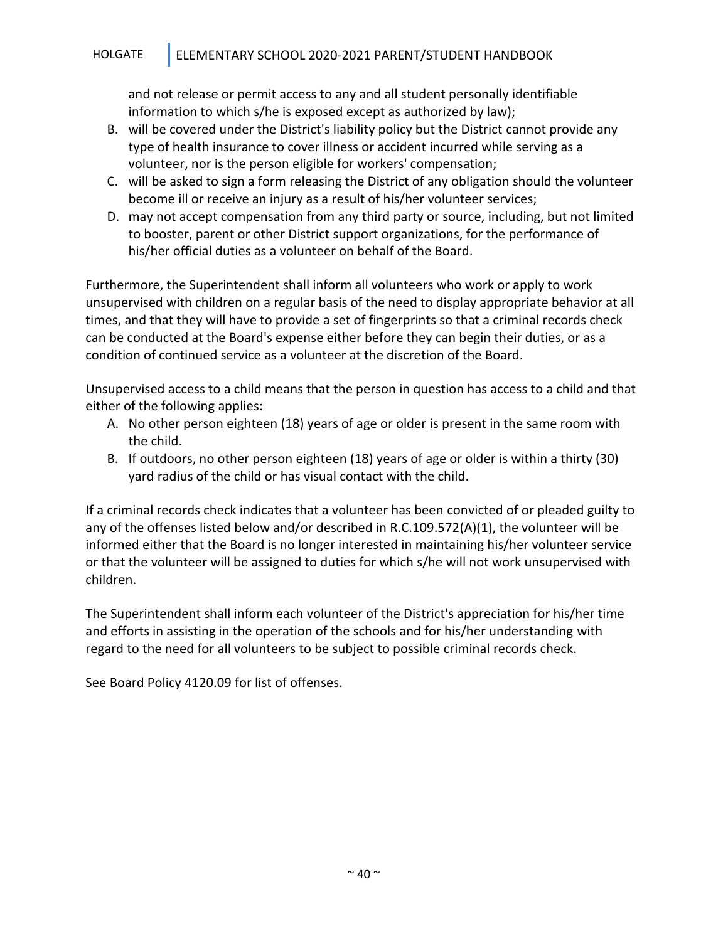and not release or permit access to any and all student personally identifiable information to which s/he is exposed except as authorized by law);

- B. will be covered under the District's liability policy but the District cannot provide any type of health insurance to cover illness or accident incurred while serving as a volunteer, nor is the person eligible for workers' compensation;
- C. will be asked to sign a form releasing the District of any obligation should the volunteer become ill or receive an injury as a result of his/her volunteer services;
- D. may not accept compensation from any third party or source, including, but not limited to booster, parent or other District support organizations, for the performance of his/her official duties as a volunteer on behalf of the Board.

Furthermore, the Superintendent shall inform all volunteers who work or apply to work unsupervised with children on a regular basis of the need to display appropriate behavior at all times, and that they will have to provide a set of fingerprints so that a criminal records check can be conducted at the Board's expense either before they can begin their duties, or as a condition of continued service as a volunteer at the discretion of the Board.

Unsupervised access to a child means that the person in question has access to a child and that either of the following applies:

- A. No other person eighteen (18) years of age or older is present in the same room with the child.
- B. If outdoors, no other person eighteen (18) years of age or older is within a thirty (30) yard radius of the child or has visual contact with the child.

If a criminal records check indicates that a volunteer has been convicted of or pleaded guilty to any of the offenses listed below and/or described in R.C.109.572(A)(1), the volunteer will be informed either that the Board is no longer interested in maintaining his/her volunteer service or that the volunteer will be assigned to duties for which s/he will not work unsupervised with children.

The Superintendent shall inform each volunteer of the District's appreciation for his/her time and efforts in assisting in the operation of the schools and for his/her understanding with regard to the need for all volunteers to be subject to possible criminal records check.

See Board Policy 4120.09 for list of offenses.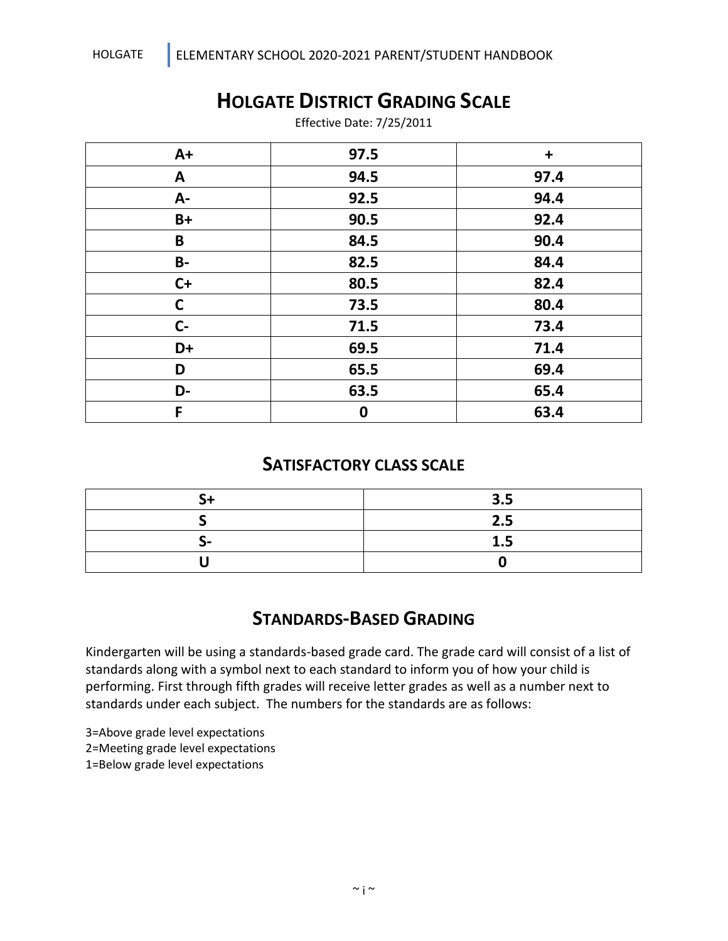## **HOLGATE DISTRICT GRADING SCALE**

| $A+$        | 97.5 | $\ddot{}$ |
|-------------|------|-----------|
| A           | 94.5 | 97.4      |
| A-          | 92.5 | 94.4      |
| $B+$        | 90.5 | 92.4      |
| B           | 84.5 | 90.4      |
| <b>B-</b>   | 82.5 | 84.4      |
| $C+$        | 80.5 | 82.4      |
| $\mathbf C$ | 73.5 | 80.4      |
| $C -$       | 71.5 | 73.4      |
| D+          | 69.5 | 71.4      |
| D           | 65.5 | 69.4      |
| D-          | 63.5 | 65.4      |
| F           | 0    | 63.4      |

Effective Date: 7/25/2011

## **SATISFACTORY CLASS SCALE**

| 3.5 |
|-----|
| 2.5 |
| 1.5 |
|     |

## **STANDARDS-BASED GRADING**

Kindergarten will be using a standards-based grade card. The grade card will consist of a list of standards along with a symbol next to each standard to inform you of how your child is performing. First through fifth grades will receive letter grades as well as a number next to standards under each subject. The numbers for the standards are as follows:

3=Above grade level expectations

2=Meeting grade level expectations

1=Below grade level expectations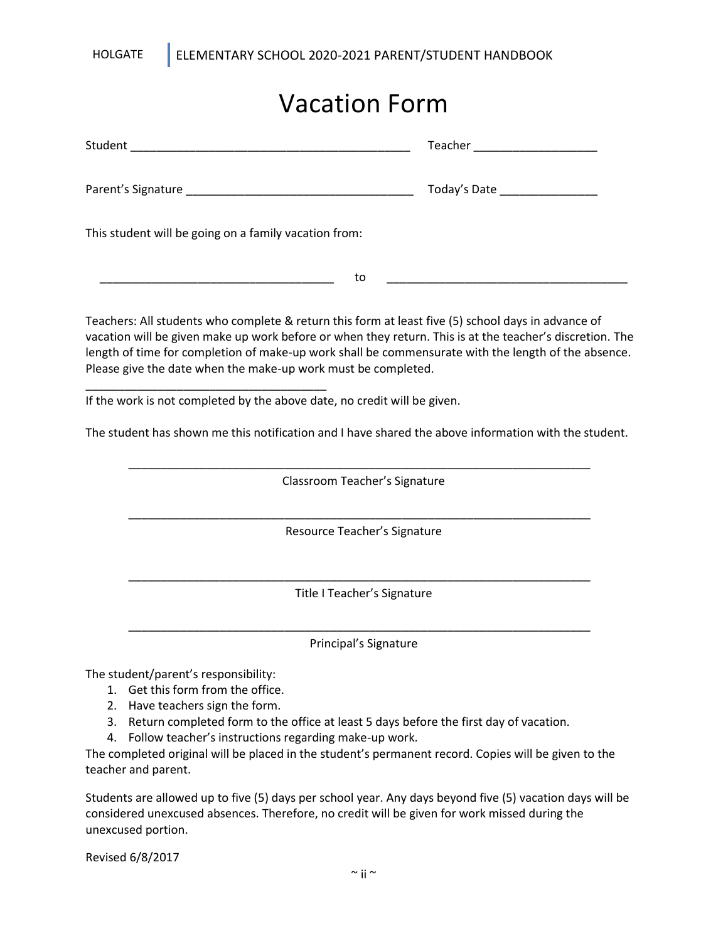# Vacation Form

| Student                                               | Teacher ______________________  |
|-------------------------------------------------------|---------------------------------|
|                                                       | Today's Date __________________ |
| This student will be going on a family vacation from: |                                 |
| to                                                    |                                 |

Teachers: All students who complete & return this form at least five (5) school days in advance of vacation will be given make up work before or when they return. This is at the teacher's discretion. The length of time for completion of make-up work shall be commensurate with the length of the absence. Please give the date when the make-up work must be completed.

If the work is not completed by the above date, no credit will be given.

The student has shown me this notification and I have shared the above information with the student.

\_\_\_\_\_\_\_\_\_\_\_\_\_\_\_\_\_\_\_\_\_\_\_\_\_\_\_\_\_\_\_\_\_\_\_\_\_\_\_\_\_\_\_\_\_\_\_\_\_\_\_\_\_\_\_\_\_\_\_\_\_\_\_\_\_\_\_\_\_\_\_ Classroom Teacher's Signature

\_\_\_\_\_\_\_\_\_\_\_\_\_\_\_\_\_\_\_\_\_\_\_\_\_\_\_\_\_\_\_\_\_\_\_\_\_\_\_\_\_\_\_\_\_\_\_\_\_\_\_\_\_\_\_\_\_\_\_\_\_\_\_\_\_\_\_\_\_\_\_ Resource Teacher's Signature

\_\_\_\_\_\_\_\_\_\_\_\_\_\_\_\_\_\_\_\_\_\_\_\_\_\_\_\_\_\_\_\_\_\_\_\_\_\_\_\_\_\_\_\_\_\_\_\_\_\_\_\_\_\_\_\_\_\_\_\_\_\_\_\_\_\_\_\_\_\_\_ Title I Teacher's Signature

\_\_\_\_\_\_\_\_\_\_\_\_\_\_\_\_\_\_\_\_\_\_\_\_\_\_\_\_\_\_\_\_\_\_\_\_\_\_\_\_\_\_\_\_\_\_\_\_\_\_\_\_\_\_\_\_\_\_\_\_\_\_\_\_\_\_\_\_\_\_\_ Principal's Signature

The student/parent's responsibility:

1. Get this form from the office.

\_\_\_\_\_\_\_\_\_\_\_\_\_\_\_\_\_\_\_\_\_\_\_\_\_\_\_\_\_\_\_\_\_\_\_\_\_

- 2. Have teachers sign the form.
- 3. Return completed form to the office at least 5 days before the first day of vacation.
- 4. Follow teacher's instructions regarding make-up work.

The completed original will be placed in the student's permanent record. Copies will be given to the teacher and parent.

Students are allowed up to five (5) days per school year. Any days beyond five (5) vacation days will be considered unexcused absences. Therefore, no credit will be given for work missed during the unexcused portion.

Revised 6/8/2017